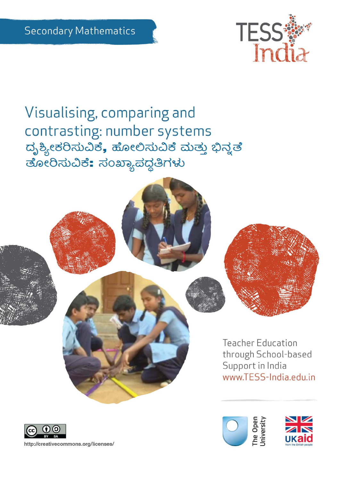

Visualising, comparing and contrasting: number systems ದೃಶ್ಯೀಕರಿಸುವಿಕೆ, ಹೋಲಿಸುವಿಕೆ ಮತ್ತು ಭಿನ್ನತೆ ತೋರಿಸುವಿಕೆ: ಸಂಖ್ಯಾಪದ್ಧತಿಗಳು





http://creativecommons.org/licenses/

**Teacher Education** through School-based Support in India www.TESS-India.edu.in



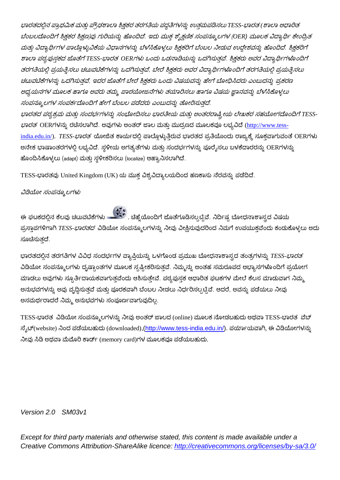ಭಾರತದಲ್ಲಿನ ಪ್ರಾಥಮಿಕ ಮತ್ತು ಪ್ರೌಢಶಾಲಾ ಶಿಕ್ಷಕರ ತರಗತಿಯ ಪದ್ಧತಿಗಳನ್ನು ಉತ್ತಮಪಡಿಸಲು TESS-ಭಾರತ (ಶಾಲಾ ಆಧಾರಿತ ಬೆಂಬಲದೊಂದಿಗೆ ಶ್ರಿಕ್ಷಕರ ಶ್ರಿಕ್ಷಣ)ವು ಗುರಿಯನ್ನು ಹೊಂದಿದೆ. ಇದು ಮುಕ್ತ ಶೈಕ್ಷಣಿಕ ಸಂಪನ್ಮೂಲಗಳ (OER) ಮೂಲಕ ವಿದ್ಯಾರ್ಥಿ ಕೇಂದ್ರಿತ ಮತ್ತು ವಿದ್ಯಾರ್ಥಿಗಳ ಪಾಲ್ಗೊಳ್ಳುವಿಕೆಯ ವಿಧಾನಗಳನ್ನು ಬೆಳೆಸಿಕೊಳ್ಳಲು ಶ್ವಿಕ್ಷಕರಿಗೆ ಬೆಂಬಲ ನೀಡುವ ಉದ್ದೇಶವನ್ನು ಹೊಂದಿದೆ. ಶ್ವಿಕ್ಷಕರಿಗೆ ಶಾಲಾ ಪಠ್ಯಪುಸ್ತಕದ ಜೊತೆಗೆ TESS-ಭಾರತ OERಗಳು ಒಂದು ಒಡನಾಡಿಯನ್ನು ಒದಗಿಸುತ್ತವೆ. ಶಿಕ್ಷಕರು ಅವರ ವಿದ್ಯಾರ್ಥಿಗಳೊಂದಿಗೆ ತರಗತಿಯಲ್ಲಿ ಪ್ರಯತ್ನಿಸಲು ಚಟುವಟಿಕೆಗಳನ್ನು ಒದಗಿಸುತ್ತವೆ, ಬೇರೆ ಶಿಕ್ಷಕರು ಅವರ ವಿದ್ಯಾರ್ಥಿಗಳೊಂದಿಗೆ ತರಗತಿಯಲ್ಲಿ ಪ್ರಯತ್ನಿಸಲು ಚಟುವಟಿಕೆಗಳನ್ನು ಒದಗಿಸುತ್ತವೆ, ಇದರ ಜೊತೆಗೆ ಬೇರೆ ಶಿಕ್ಷಕರು ಒಂದು ವಿಷಯವನ್ನು ಹೇಗೆ ಬೋಧಿಸಿದರು ಎಂಬುದನ್ನು ಪ್ರಕರಣ ಅಧ್ಯಯನಗಳ ಮೂಲಕ ಹಾಗೂ ಅವರು ತಮ್ಮ ಪಾಠಯೋಜನೆಗಳು ತಯಾರಿಸಲು ಹಾಗೂ ವಿಷಯ ಜ್ಞಾನವನ್ನು ಬೆಳೆಸಿಕೊಳ್ಳಲು ಸಂಪನ್ಮೂಲಗಳ ಸಂಪರ್ಕದೊಂದಿಗೆ ಹೇಗೆ ಬೆಂಬಲ ಪಡೆದರು ಎಂಬುದನ್ನು ತೋರಿಸುತದೆ. ಭಾರತದ ಪಠ್ಯಕ್ರಮ ಮತ್ತು ಸಂದರ್ಭಗಳನ್ನು ಸಂಭೋದಿಸಲು ಭಾರತೀಯ ಮತ್ತು ಅಂತರರಾಷ್ಟ್ರೀಯ ಲೇಖಕರ ಸಹಯೋಗದೊಂದಿಗೆ TESS-*ಭಾರತ*ಂERಗಳನ್ನು ರಚಿಸಲಾಗಿದೆ. ಅವುಗಳು ಅಂತರ್ ಜಾಲ ಮತ್ತು ಮುದ್ರಣದ ಮೂಲಕವೂ ಲಭ್ಯವಿದೆ (<u>http://www.tess-</u> <u>india.edu.in/</u>). *TESS-ಭಾರತ* ಯೋಜಿತ ಕಾರ್ಯದಲ್ಲಿ ಪಾಲ್ಗೊಳ್ಳುತ್ತಿರುವ ಭಾರತದ ಪ್ರತಿಯೊಂದು ರಾಜ್ಯಕ್ಕೆ ಸೂಕ್ತವಾಗುವಂತೆ OERಗಳು ಅನೇಕ ಭಾಷಾಂತರಗಳಲ್ಲಿ ಲಭ್ಯವಿದೆ. ಸ್ಥಳೀಯ ಅಗತ್ಯತೆಗಳು ಮತ್ತು ಸಂದರ್ಭಗಳನ್ನು ಪೂರೈಸಲು ಬಳಕೆದಾರರನ್ನು OERಗಳನ್ನು ಹೊಂದಿಸಿಕೊಳ್ಳಲು (adapt) ಮತ್ತು ಸ್ಥಳೀಕರಿಸಲು (localize) ಆಹ್ಯಾನಿಸಲಾಗಿದೆ.

TESS-ಭಾರತವು United Kingdom (UK) ಯ ಮುಕ್ತ ವಿಶ್ವವಿದ್ಯಾಲಯದಿಂದ ಹಣಕಾಸು ನೆರವನ್ನು ಪಡೆದಿದೆ.

#### ವಿಡಿಯೋ ಸಂಪನ್ಮೂಲಗಳು

ಈ ಘಟಕದಲ್ಲಿನ ಕೆಲವು ಚಟುವಟಿಕೆಗಳು <mark>ಮಾತ್ರಕ್ಕೆ</mark> . ಚಿಹ್ನೆಯೊಂದಿಗೆ ಜೊತೆಗೂಡಿಸಲ್ಪಟ್ಟಿವೆ. ನಿರ್ದಿಷ್ಟ ಬೋಧನಾಶಾಸ್ತ್ರದ ವಿಷಯ ಪ್ರಸ್ತಾಪಗಳಿಗಾಗಿ TESS-*ಭಾರತದ* ವಿಡಿಯೋ ಸಂಪನ್ಮೂಲಗಳನ್ನು ನೀವು ವೀಕ್ಷಿಸುವುದರಿಂದ ನಿಮಗೆ ಉಪಯುಕ್ತವೆಂದು ಕಂಡುಕೊಳ್ಳಲು ಅದು ಸೂಚಿಸುತ್ತದೆ.

ಭಾರತದಲ್ಲಿನ ತರಗತಿಗಳ ವಿವಿಧ ಸಂದರ್ಭಗಳ ವ್ಯಾಪ್ತಿಯನ್ನು ಒಳಗೊಂಡ ಪ್ರಮುಖ ಬೋಧನಾಶಾಸ್ತ್ರದ ತಂತ್ರಗಳನ್ನು *TESS-ಭಾರತ* ವಿಡಿಯೋ ಸಂಪನ್ಮೂಲಗಳು ದೃಷ್ಟಾಂತಗಳ ಮೂಲಕ ಸ್ಪಷ್ಟೀಕರಿಸುತ್ತವೆ. ನಿಮ್ಮನ್ನು ಅಂತಹ ಸಮರೂಪದ ಅಭ್ಯಾಸಗಳೊಂದಿಗೆ ಪ್ರಯೋಗ ಮಾಡಲು ಅವುಗಳು ಸ್ಸೂರ್ತಿದಾಯಕವಾಗುತ್ತವೆಂದು ಆಶಿಸುತ್ತೇವೆ. ಪಠ್ಯಪುಸ್ತಕ ಆಧಾರಿತ ಘಟಕಗಳ ಮೇಲೆ ಕೆಲಸ ಮಾಡುವಾಗ ನಿಮ್ಮ ಅನುಭವಗಳನ್ನು ಅವು ವೃದ್ಧಿಸುತ್ತವೆ ಮತ್ತು ಪೂರಕವಾಗಿ ಬೆಂಬಲ ನೀಡಲು ನಿರ್ಧರಿಸಲ್ಪಟ್ಟಿವೆ. ಆದರೆ, ಅವನ್ನು ಪಡೆಯಲು ನೀವು ಅಸಮರ್ಥರಾದರೆ ನಿಮ್ಮ ಅನುಭವಗಳು ಸಂಪೂರ್ಣವಾಗುವುದಿಲ್ಲ.

TESS-ಭಾರತ ವಿಡಿಯೋ ಸಂಪನ್ಮೂಲಗಳನ್ನು ನೀವು ಅಂತರ್ ಜಾಲದ (online) ಮೂಲಕ ನೋಡಬಹುದು ಅಥವಾ TESS-ಭಾರತ ವೆಬ್ ಸ್ನೆಟ್(website) ನಿಂದ ಪಡೆಯಬಹುದು (downloaded),(http://www.tess-india.edu.in/). ಪರ್ಯಾಯವಾಗಿ, ಈ ವಿಡಿಯೋಗಳನ್ನು ನೀವು ಸಿಡಿ ಅಥವಾ ಮೆಮೊರಿ ಕಾರ್ಡ್ (memory card)ಗಳ ಮೂಲಕವೂ ಪಡೆಯಬಹುದು.

#### *Version 2.0 SM03v1*

*Except for third party materials and otherwise stated, this content is made available under a Creative Commons Attribution-ShareAlike licence:<http://creativecommons.org/licenses/by-sa/3.0/>*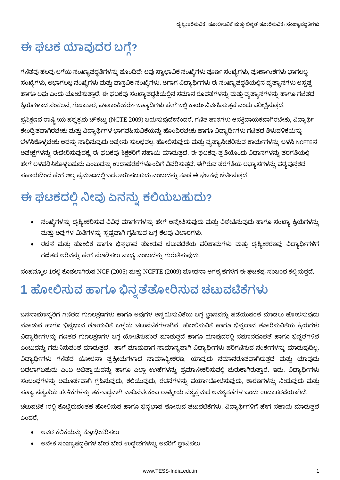# ಈ ಘಟಕ ಯಾವುದರ ಬಗ್ಗೆ?

ಗಣಿತವು ಹಲವು ಬಗೆಯ ಸಂಖ್ಯಾಪದ್ದತಿಗಳನ್ನು ಹೊಂದಿದೆ: ಅವು ಸ್ವಾಭಾವಿಕ ಸಂಖ್ಯೆಗಳು ಪೂರ್ಣ ಸಂಖ್ಯೆಗಳು, ಪೂರ್ಣಾಂಕಗಳು ಭಾಗಲಬ್ದ ಸಂಖ್ಯೆಗಳು, ಅಭಾಗಲಬ್ಧ ಸಂಖ್ಯೆಗಳು ಮತ್ತು ವಾಸ್ತವಿಕ ಸಂಖ್ಯೆಗಳು. ಆಗಾಗ ವಿದ್ಯಾರ್ಥಿಗಳು ಈ ಸಂಖ್ಯಾಪದ್ಧತಿಯಲ್ಲಿನ ವ್ಯತ್ಯಾಸಗಳು ಅಸ್ಪಷ್ಟ ಹಾಗೂ ಲಘು ಎಂದು ಯೋಚೆಸುತ್ತಾರೆ. ಈ ಘಟಕವು ಸಂಖ್ಯಾಪದ್ಧತಿಯಲ್ಲಿನ ಸಮಾನ ರೂಪತೆಗಳನ್ನು ಮತ್ತು ವ್ಯತ್ಯಾಸಗಳನ್ನು ಹಾಗೂ ಗಣಿತದ ಕ್ರಿಯೆಗಳಾದ ಸಂಕಲನ, ಗುಣಾಕಾರ, ಘಾತಾಂಕೀಕರಣ ಇತ್ಯಾದಿಗಳು ಹೇಗೆ ಇಲ್ಲಿ ಕಾರ್ಯನಿರ್ವಹಿಸುತ್ತವೆ ಎಂದು ಪರೀಕ್ಷಿಸುತ್ತದೆ.

ಪ್ರಶಿಕ್ಷಣದ ರಾಷ್ಟ್ರೀಯ ಪಠ್ಯಕ್ರಮ ಚೌಕಟ್ಟು (NCTE 2009) ಬಯಸುವುದೇನೆಂದರೆ, ಗಣಿತ ಪಾಠಗಳು ಆಸಕ್ತಿದಾಯಕವಾಗಿರಬೇಕು, ವಿದ್ಯಾರ್ಥಿ ಕೇಂದ್ರಿತವಾಗಿರಬೇಕು ಮತ್ತು ವಿದ್ಯಾರ್ಥಿಗಳ ಭಾಗವಹಿಸುವಿಕೆಯನ್ನು ಹೊಂದಿರಬೇಕು ಹಾಗೂ ವಿದ್ಯಾರ್ಥಿಗಳು ಗಣಿತದ ತಿಳುವಳಿಕೆಯನ್ನು ಬೆಳೆಸಿಕೊಳ್ಳಬೇಕು ಅದನ್ನು ಸಾಧಿಸುವುದು ಅಷ್ಟೇನು ಸುಲಭವಲ್ಲ. ಹೋಲಿಸುವುದು ಮತ್ತು ವ್ಯತ್ಯಾಸೀಕರಿಸುವ ಕಾರ್ಯಗಳನ್ನು ಬಳಸಿ NCFTEನ ಅಪೇಕ್ಷೆಗಳನ್ನು ಈಡೇರಿಸುವುದಕ್ಕೆ ಈ ಘಟಕವು ಶಿಕ್ಷಕರಿಗೆ ಸಹಾಯ ಮಾಡುತ್ತದೆ. ಈ ಘಟಕವು ಪ್ರತಿಯೊಂದು ವಿಧಾನಗಳನ್ನು ತರಗತಿಯಲ್ಲಿ ಹೇಗೆ ಅಳವಡಿಸಿಕೊಳ್ಳಬಹುದು ಎಂಬುದನ್ನು ಉದಾಹರಣೆಗಳೊಂದಿಗೆ ವಿವರಿಸುತ್ತದೆ. ಈಗಿರುವ ತರಗತಿಯ ಅಭ್ಯಾಸಗಳನ್ನು ಪಠ್ಯಪುಸ್ತಕದ ಸಹಾಯದಿಂದ ಹೇಗೆ ಅಲ್ಪ ಪ್ರಮಾಣದಲ್ಲಿ ಬದಲಾಯಿಸಬಹುದು ಎಂಬುದನ್ನು ಕೂಡ ಈ ಘಟಕವು ಚರ್ಚೆಸುತ್ತದೆ.

# ಈ ಘಟಕದಲ್ಲಿ ನೀವು ಏನನ್ನು ಕಲಿಯಬಹುದು?

- ್ಸಂಖ್ಯೆಗಳನ್ನು ದೃಶ್ಯೀಕರಿಸುವ ವಿವಿಧ ಮಾರ್ಗಗಳನ್ನು ಹೇಗೆ ಅನ್ವೇಷಿಸುವುದು ಮತ್ತು ವಿಶ್ಲೇಷಿಸುವುದು ಹಾಗೂ ಸಂಖ್ಯಾ ಕ್ರಿಯೆಗಳನ್ನು ್ತುತ್ತು ಅವುಗಳ ಮಿತಿಗಳನ್ನು ಸೃಷ್ಟವಾಗಿ ಗ್ರಹಿಸುವ ಬಗ್ಗೆ ಕೆಲವು ವಿಚಾರಗಳು.
- ರಚನೆ ಮತ್ತು ಹೋಲಿಕೆ ಹಾಗೂ ಭಿನ್ನಭಾವ ತೋರುವ ಚಟುವಟಿಕೆಯ ಪರಿಣಾಮಗಳು ಮತ್ತು ದೃಶ್ಯೀಕರಣವು ವಿದ್ಯಾರ್ಥಿಗಳಿಗೆ ಗಣಿತದ ಅರಿವನ್ನು ಹೇಗೆ ಮೂಡಿಸಲು ಸಾಧ್ಯ ಎಂಬುದನ್ನು ಗುರುತಿಸುವುದು.

ಸಂಪನ್ಮೂಲ 1ರಲ್ಲಿ ಕೊಡಲಾಗಿರುವ NCF (2005) ಮತ್ತು NCFTE (2009) ಬೋಧನಾ ಅಗತ್ಯತೆಗಳಿಗೆ ಈ ಘಟಕವು ಸಂಬಂಧ ಕಲ್ಪಿಸುತ್ತದೆ.

# 1 ಹೋಲಿಸುವ ಹಾಗೂ ಭಿನ್ನತೆತೋರಿಸುವ ಚಟುವಟಿಕೆಗಳು

ಜನಸಾಮಾನ್ಯರಿಗೆ ಗಣಿತದ ಗುಣಲಕ್ಷಣಗಳು ಹಾಗೂ ಅವುಗಳ ಅನ್ವಯಿಸುವಿಕೆಯ ಬಗ್ಗೆ ಜ್ಞಾನವನ್ನು ಪಡೆಯುವಂತೆ ಮಾಡಲು ಹೋಲಿಸುವುದು ನೋಡುವ ಹಾಗೂ ಭಿನ್ನಭಾವ ತೋರುವಿಕೆ ಒಳ್ಳೆಯ ಚಟುವಟಿಕೆಗಳಾಗಿವೆ. ಹೋಲಿಸುವಿಕೆ ಹಾಗೂ ಭಿನ್ನಭಾವ ತೋರಿಸುವಿಕೆಯ ಕ್ರಿಯೆಗಳು ವಿದ್ಯಾರ್ಥಿಗಳನ್ನು ಗಣಿತದ ಗುಣಲಕ್ಷಣಗಳ ಬಗ್ಗೆ ಯೋಚೆಸುವಂತೆ ಮಾಡುತ್ತದೆ ಹಾಗೂ ಯಾವುದರಲ್ಲಿ ಸಮಾನರೂಪತೆ ಹಾಗೂ ಭಿನ್ನತೆಗಳಿವೆ ಎಂಬುದನ್ನು ಗಮನಿಸುವಂತೆ ಮಾಡುತ್ತದೆ. ಹಾಗೆ ಮಾಡುವಾಗ ಸಾಮಾನ್ಯವಾಗಿ ವಿದ್ಯಾರ್ಥಿಗಳು ಪರಿಗಣಿಸುವ ಸಂರ್ಕಗಳನ್ನು ಮಾಡುವುದಿಲ್ಲ. ವಿದ್ಯಾರ್ಥಿಗಳು ಗಣಿತದ ಯೋಚನಾ ಪ್ರಕ್ರೀಯೆಗಳಾದ ಸಾಮಾನ್ಯೀಕರಣ, ಯಾವುದು ಸಮಾನರೂಪವಾಗಿರುತ್ತದೆ ಮತ್ತು ಯಾವುದು ಬದಲಾಗಬಹುದು ಎಂಬ ಅಭಿಪ್ರಾಯವನ್ನು ಹಾಗೂ ಎಲ್ಲಾ ಉಹೆಗಳನ್ನು ಪ್ರಮಾಣೀಕರಿಸುವಲ್ಲಿ ಚುರುಕಾಗಿರುತ್ತಾರೆ. ಇದು, ವಿದ್ಯಾರ್ಥಿಗಳು ಸಂಬಂಧಗಳನ್ನು ಅಮೂರ್ತವಾಗಿ ಗ್ರಹಿಸುವುದು, ಕಲಿಯುವುದು, ರಚನೆಗಳನ್ನು ಪರ್ಯಾಲೋಚಿಸುವುದು, ಕಾರಣಗಳನ್ನು ನೀಡುವುದು ಮತ್ತು ಸತ್ಯಾ ಸತ್ಯತೆಯ ಹೇಳಿಕೆಗಳನ್ನು ತರ್ಕಬದ್ಧವಾಗಿ ವಾದಿಸಬೇಕೆಂಬ ರಾಷ್ಟ್ರೀಯ ಪಠ್ಯಕ್ರಮದ ಅವಶ್ಯಕತೆಗಳ ಒಂದು ಉದಾಹರಣೆಯಾಗಿದೆ.

ಚಟುವಟಿಕೆ 1ರಲ್ಲಿ ಕೊಟ್ಟಿರುವಂತಹ ಹೋಲಿಸುವ ಹಾಗೂ ಭಿನ್ನಭಾವ ತೋರುವ ಚಟುವಟಿಕೆಗಳು, ವಿದ್ಯಾರ್ಥಿಗಳಿಗೆ ಹೇಗೆ ಸಹಾಯ ಮಾಡುತ್ತವೆ ಎಂದರೆ.

- ಅವರ ಕಲಿಕೆಯನ್ನು ಕ್ರೋಢೀಕರಿಸಲು
- ಅನೇಕ ಸಂಖ್ಯಾಪದ್ಧತಿಗಳ ಬೇರೆ ಬೇರೆ ಉದ್ದೇಶಗಳನ್ನು ಅವರಿಗೆ ಜ್ಞಾಪಿಸಲು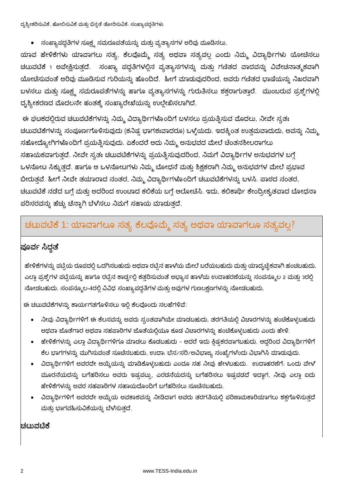ದೃಶ್ಯೀಕರಿಸುವಿಕೆ, ಹೋಲಿಸುವಿಕೆ ಮತ್ತು ಭಿನ್ನತೆ ತೋರಿಸುವಿಕೆ. ಸಂಖ್ಯಾಪದ್ಧತಿಗಳು

• ಸಂಖ್ಯಾಪದ್ಧತಿಗಳ ಸೂಕ್ಷ್ಮ ಸಮರೂಪತೆಯನ್ನು ಮತ್ತು ವ್ಯತ್ಯಾಸಗಳ ಅರಿವು ಮೂಡಿಸಲು.

ಯಾವ ಹೇಳಿಕೆಗಳು ಯಾವಾಗಲು ಸತ್ಯ, ಕೆಲವೊಮ್ಮೆ ಸತ್ಯ ಅಥವಾ ಸತ್ಯವಲ್ಲ ಎಂದು ನಿಮ್ಮ ವಿದ್ಯಾರ್ಥಿಗಳು ಯೋಚಿಸಲು ಚಟುವಟಿಕೆ 1 ಅಪೇಕ್ಷಿಸುತ್ತದೆ. ಸಂಖ್ಯಾ ಪದ್ಧತಿಗಳಲ್ಲಿನ ವ್ಯತ್ಯಾಸಗಳನ್ನು ಮತ್ತು ಗಣಿತದ ವಾದವನ್ನು ವಿವೇಚನಾತ್ಮಕವಾಗಿ ಯೋಚಿಸುವಂತೆ ಅರಿವು ಮೂಡಿಸುವ ಗುರಿಯನ್ನು ಹೊಂದಿದೆ. ಹೀಗೆ ಮಾಡುವುದರಿಂದ, ಅವರು ಗಣಿತದ ಭಾಷೆಯನ್ನು ನಿಖರವಾಗಿ ಬಳಸಲು ಮತ್ತು ಸೂಕ್ಷ್ಮ ಸಮರೂಪತೆಗಳನ್ನು ಹಾಗೂ ವ್ಯತ್ಯಾಸಗಳನ್ನು ಗುರುತಿಸಲು ಶಕ್ತರಾಗುತ್ತಾರೆ. ಮುಂಬರುವ ಪ್ರಶ್ನೆಗಳಲ್ಲಿ ದೃಶ್ಯೀಕರಣದ ಮೊದಲನೇ ಹಂತಕ್ಕೆ ಸಂಖ್ಯಾರೇಖೆಯನ್ನು ಉಲ್ಲೇಖಿಸಲಾಗಿದೆ.

ಈ ಘಟಕದಲ್ಲಿರುವ ಚಟುವಟಿಕೆಗಳನ್ನು ನಿಮ್ಮ ವಿದ್ಯಾರ್ಥಿಗಳೊಂದಿಗೆ ಬಳಸಲು ಪ್ರಯತ್ನಿಸುವ ಮೊದಲು, ನೀವೇ ಸ್ವತಃ ಚಟುವಟಿಕೆಗಳನ್ನು ಸಂಪೂರ್ಣಗೊಳಿಸುವುದು (ಕನಿಷ್ಟ ಭಾಗಶಃವಾದರೂ) ಒಳ್ಳೆಯದು. ಇದಕ್ಕಿಂತ ಉತ್ತಮವಾದುದು, ಅವನ್ನು ನಿಮ್ಮ ಸಹೋದ್ಯೋಗಿಗಳೊಂದಿಗೆ ಪ್ರಯತ್ನಿಸುವುದು. ಏಕೆಂದರೆ ಅದು ನಿಮ್ಮ ಅನುಭವದ ಮೇಲೆ ಚಿಂತನಶೀಲರಾಗಲು ಸಹಾಯಕವಾಗುತ್ತದೆ. ನೀವೇ ಸ್ವತಃ ಚಟುವಟಿಕೆಗಳನ್ನು ಪ್ರಯತ್ನಿಸುವುದರಿಂದ, ನಿಮಗೆ ವಿದ್ಯಾರ್ಥಿಗಳ ಅನುಭವಗಳ ಬಗ್ಗೆ ಒಳನೋಟ ಸಿಕ್ಕುತ್ತದೆ. ಹಾಗೂ ಆ ಒಳನೋಟಗಳು ನಿಮ್ಮ ಬೋಧನೆ ಮತ್ತು ಶಿಕ್ಷಕರಾಗಿ ನಿಮ್ಮ ಅನುಭವಗಳ ಮೇಲೆ ಪ್ರಭಾವ ಬೀರುತ್ತವೆ. ಹೀಗೆ ನೀವೇ ತಯಾರಾದ ನಂತರ, ನಿಮ್ಮ ವಿದ್ಯಾರ್ಥಿಗಳೊಂದಿಗೆ ಚಟುವಟಿಕೆಗಳನ್ನು ಬಳಸಿ. ಪಾಠದ ನಂತರ, ಚಟುವಟಿಕೆ ನಡೆದ ಬಗ್ಗೆ ಮತ್ತು ಅದರಿಂದ ಉಂಟಾದ ಕಲಿಕೆಯ ಬಗ್ಗೆ ಆಲೋಚಿಸಿ. ಇದು, ಕಲಿಕಾರ್ಥಿ ಕೇಂದ್ರೀಕೃತವಾದ ಬೋಧನಾ ಪರಿಸರವನ್ನು ಹೆಚ್ಚು ಚೆನ್ನಾಗಿ ಬೆಳೆಸಲು ನಿಮಗೆ ಸಹಾಯ ಮಾಡುತ್ತದೆ.

### ಚಟುವಟಿಕೆ 1: ಯಾವಾಗಲೂ ಸತ್ಯ ಕೆಲವೊಮ್ಮೆ ಸತ್ಯ ಅಥವಾ ಯಾವಾಗಲೂ ಸತ್ಯವಲ್ಲ?

#### |ಪೂರ್ವ ಸಿದ್ಧತೆ

ಹೇಳಿಕೆಗಳನ್ನು ಪಟ್ಟಿಯ ರೂಪದಲ್ಲಿ ಒದಗಿಸಬಹುದು ಅಥವಾ ರಟ್ಟಿನ ಹಾಳೆಯ ಮೇಲೆ ಬರೆಯಬಹುದು ಮತ್ತು ಯಾದೃಚ್ಚಿಕವಾಗಿ ಹಂಚಬಹುದು. ಎಲ್ಲಾ ಪ್ರಶ್ನೆಗಳ ಪಟ್ಟಿಯನ್ನು ಹಾಗೂ ರಟ್ಟಿನ ಕಾರ್ಡ್ನಲ್ಲಿ ಕತ್ತರಿಸುವಂತೆ ಅಭ್ಯಾಸ ಹಾಳೆಯ ಉದಾಹರಣೆಯನ್ನು ಸಂಪನ್ಮೂಲ 2 ಮತ್ತು 3ರಲ್ಲಿ ನೋಡಬಹುದು. ಸಂಪನ್ಮೂಲ-4ರಲ್ಲಿ ವಿವಿಧ ಸಂಖ್ಯಾಪದ್ಧತಿಗಳ ಮತ್ತು ಅವುಗಳ ಗುಣಲಕ್ಷಣಗಳನ್ನು ನೋಡಬಹುದು.

ಈ ಚಟುವಟಿಕೆಗಳನ್ನು ಕಾರ್ಯಗತಗೊಳಿಸಲು ಇಲ್ಲಿ ಕೆಲವೊಂದು ಸಲಹೆಗಳಿವೆ:

- ನೀವು ವಿದ್ಯಾರ್ಥಿಗಳಿಗೆ ಈ ಕೆಲಸವನ್ನು ಅವರು ಸ್ವಂತವಾಗಿಯೇ ಮಾಡಬಹುದು, ತರಗತಿಯಲ್ಲಿ ವಿಚಾರಗಳನ್ನು ಹಂಚಿಕೊಳ್ಳಬಹುದು ಅಥವಾ ಜೊತೆಗಾರ ಅಥವಾ ಸಹಪಾಠಿಗಳ ಜೊತೆಯಲ್ಲಿಯೂ ಕೂಡ ವಿಚಾರಗಳನ್ನು ಹಂಚಿಕೊಳ್ಳಬಹುದು ಎಂದು ಹೇಳಿ.
- ಹೇಳಿಕೆಗಳನ್ನು ಎಲ್ಲಾ ವಿದ್ಯಾರ್ಥಿಗಳಿಗೂ ಮಾಡಲು ಕೊಡಬಹುದು ಆದರೆ ಇದು ಕ್ಲಿಷ್ಟಕರವಾಗಬಹುದು. ಆದ್ದರಿಂದ ವಿದ್ಯಾರ್ಥಿಗಳಿಗೆ ಕೆಲ ಭಾಗಗಳನ್ನು ಮುಗಿಸುವಂತೆ ಸೂಚೆಸಬಹುದು, ಉದಾ: ಬೆಸ/ಸರಿ/ಅವಿಭಾಜ್ಯ ಸಂಖ್ಯೆಗಳೆಂದು ವಿಭಾಗಿಸಿ ಮಾಡುವುದು.
- ವಿದ್ಯಾರ್ಥಿಗಳಿಗೆ ಅವರದೇ ಆಯ್ಕೆಯನ್ನು ಮಾಡಿಕೊಳ್ಳಬಹುದು ಎಂದೂ ಸಹ ನೀವು ಹೇಳಬಹುದು. ಉದಾಹರಣೆಗೆ: ಒಂದು ವೇಳ ಮೂರನೆಯದನ್ನು ಬಗೆಹರಿಸಲು ಅವರು ಇಷ್ಟಪಟ್ಟು, ಎರಡನೆಯದನ್ನು ಬಗೆಹರಿಸಲು ಇಷ್ಟಪಡದೆ ಇದ್ದಾಗ, ನೀವು ಎಲ್ಲಾ ಐದು ಹೇಳಿಕೆಗಳನ್ನು ಅವರ ಸಹಪಾಠಿಗಳ ಸಹಾಯದೊಂದಿಗೆ ಬಗೆಹರಿಸಲು ಸೂಚಿಸಬಹುದು.
- ವಿದ್ಯಾರ್ಥಿಗಳಿಗೆ ಅವರದೇ ಆಯ್ಕೆಯ ಅವಕಾಶವನ್ನು ನೀಡಿದಾಗ ಅವರು ತರಗತಿಯಲ್ಲಿ ಪರಿಣಾಮಕಾರಿಯಾಗಲು ಶಕ್ತಗೊಳಿಸುತ್ತದೆ ಮತ್ತು ಭಾಗವಹಿಸುವಿಕೆಯನ್ನು ಬೆಳೆಸುತ್ತದೆ.

#### ಚಟುವಟಿಕೆ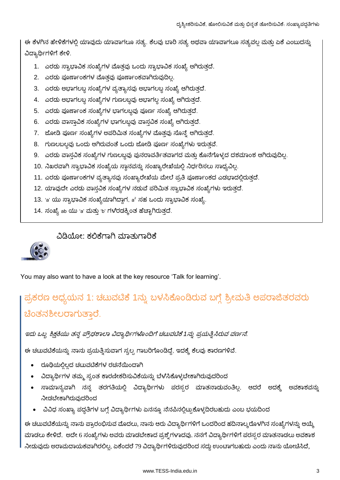ಈ ಕೆಳಗಿನ ಹೇಳಿಕೆಗಳಲ್ಲಿ ಯಾವುದು ಯಾವಾಗಲೂ ಸತ್ಯ. ಕೆಲವು ಬಾರಿ ಸತ್ಯ ಅಥವಾ ಯಾವಾಗಲೂ ಸತ್ಯವಲ್ಲ ಮತ್ತು ಏಕೆ ಎಂಬುದನ್ನು ವಿದ್ಯಾರ್ಥಿಗಳಿಗೆ ಕೇಳಿ.

- 1. ಎರಡು ಸ್ವಾಭಾವಿಕ ಸಂಖ್ಯೆಗಳ ಮೊತ್ತವು ಒಂದು ಸ್ವಾಭಾವಿಕ ಸಂಖ್ಯೆ ಆಗಿರುತ್ತದೆ.
- 2. ಎರಡು ಪೂರ್ಣಾಂಕಗಳ ಮೊತ್ತವು ಪೂರ್ಣಾಂಕವಾಗಿರುವುದಿಲ್ಲ.
- 3. ಎರಡು ಅಭಾಗಲಬ್ದ ಸಂಖ್ಯೆಗಳ ವ್ಯತ್ಯಾಸವು ಅಭಾಗಲಬ್ದ ಸಂಖ್ಯೆ ಆಗಿರುತ್ತದೆ.
- 4. ಎರಡು ಅಭಾಗಲಬ್ದ ಸಂಖ್ಯೆಗಳ ಗುಣಲಬ್ದವು ಅಭಾಗಲ್ಲ ಸಂಖ್ಯೆ ಆಗಿರುತ್ತದೆ.
- 5. ಎರಡು ಪೂರ್ಣಾಂಕ ಸಂಖ್ಯೆಗಳ ಭಾಗಲಬ್ದವು ಪೂರ್ಣ ಸಂಖ್ಯೆ ಆಗಿರುತ್ತದೆ.
- 6. ಎರಡು ವಾಸ್ತಾವಿಕ ಸಂಖ್ಯೆಗಳ ಭಾಗಲಬ್ದವು ವಾಸ್ತವಿಕ ಸಂಖ್ಯೆ ಆಗಿರುತ್ತದೆ.
- 7. ಜೋಡಿ ಪೂರ್ಣ ಸಂಖ್ಯೆಗಳ ಅಪರಿಮಿತ ಸಂಖ್ಯೆಗಳ ಮೊತ್ತವು ಸೊನ್ತೆ ಆಗಿರುತ್ತದೆ.
- 8. ಗುಣಲಬಲ್ಲವು ಒಂದು ಆಗಿರುವಂತೆ ಒಂದು ಜೋಡಿ ಪೂರ್ಣ ಸಂಖ್ಯೆಗಳು ಇರುತ್ತವೆ.
- 9. ಎರಡು ವಾಸ್ತವಿಕ ಸಂಖ್ಯೆಗಳ ಗುಣಲಬ್ದವು ಪುನರಾವರ್ತಿತವಾಗದ ಮತ್ತು ಕೊನೆಗೊಳ್ಳದ ದಶಮಾಂಶ ಆಗಿರುವುದಿಲ್ಲ.
- 10. ನಿಖರವಾಗಿ ಸ್ವಾಭಾವಿಕ ಸಂಖ್ಯೆಯ ಸ್ಥಾನವನ್ನು ಸಂಖ್ಯಾರೇಖೆಯಲ್ಲಿ ನಿರ್ಧರಿಸಲು ಸಾಧ್ಯವಿಲ್ಲ.
- 11. ಎರಡು ಪೂರ್ಣಾಂಕಗಳ ವ್ಯತ್ಯಾಸವು ಸಂಖ್ಯಾರೇಖೆಯ ಮೇಲೆ ಪ್ರತಿ ಪೂರ್ಣಾಂಕದ ಎಡಭಾದಲ್ಲಿರುತ್ತದೆ.
- 12. ಯಾವುದೇ ಎರಡು ವಾಸ್ತವಿಕ ಸಂಖ್ಯೆಗಳ ನಡುವೆ ಪರಿಮಿತ ಸ್ವಾಭಾವಿಕ ಸಂಖ್ಯೆಗಳು ಇರುತ್ತದೆ.
- 13. 'a' ಯು ಸ್ವಾಭಾವಿಕ ಸಂಖ್ಯೆಯಾಗಿದ್ದಾಗ, a<sup>2</sup> ಸಹ ಒಂದು ಸ್ವಾಭಾವಿಕ ಸಂಖ್ಯೆ.
- 14. ಸಂಖ್ಯೆ ab ಯು 'a' ಮತ್ತು 'b' ಗಳರಡಕ್ಕಿಂತ ಹೆಚ್ಚಾಗಿರುತ್ತದೆ.

#### ವಿಡಿಯೋ: ಕಲಿಕೆಗಾಗಿ ಮಾತುಗಾರಿಕೆ



You may also want to have a look at the key resource 'Talk for learning'.

## ಪ್ರಕರಣ ಅಧ್ಯಯನ 1: ಚಟುವಟಿಕೆ 1ನ್ನು ಬಳಸಿಕೊಂಡಿರುವ ಬಗ್ಗೆ ಶ್ರೀಮತಿ ಅಪರಾಜಿತರವರು ಚಿಂತನಶೀಲರಾಗುತ್ತಾರೆ.

ಇದು ಒಬ್ಬ ಶಿಕ್ಷಕಿಯು ತನ್ನ ಪ್ರೌಢಶಾಲಾ ವಿದ್ಯಾರ್ಥಿಗಳೊಂದಿಗೆ ಚಟುವಟಿಕೆ 1ನ್ನು ಪ್ರಯತ್ನಿಸಿರುವ ವರ್ಣನೆ.

ಈ ಚಟುವಟಿಕೆಯನ್ನು ನಾನು ಪ್ರಯತ್ನಿಸುವಾಗ ಸ್ವಲ್ಪ ಗಾಬರಿಗೊಂಡಿದ್ದೆ, ಇದಕ್ಕೆ ಕೆಲವು ಕಾರಣಗಳಿವೆ.

- ರೂಢಿಯಲ್ಲಿಲ್ಲದ ಚಟುವಟಿಕೆಗಳ ರಚನೆಯಿಂದಾಗಿ
- ವಿದ್ಯಾರ್ಥಿಗಳ ತಮ್ಮ ಸ್ವಂತ ಕಾರಣೀಕರಿಸುವಿಕೆಯನ್ನು ಬೆಳೆಸಿಕೊಳ್ಳಬೇಕಾಗಿರುವುದರಿಂದ
- ಸಾಮಾನ್ಯವಾಗಿ ನನ್ನ ತರಗತಿಯಲ್ಲಿ ವಿದ್ಯಾರ್ಥಿಗಳು ಪರಸ್ಸರ ಮಾತನಾಡುವಂತಿಲ್ಲ. ಆದರೆ ಅದಕ್ಕೆ ಅವಕಾಶವನ್ನು ನೀಡಬೇಕಾಗಿರುವುದರಿಂದ
- ವಿವಿಧ ಸಂಖ್ಯಾ ಪದ್ಧತಿಗಳ ಬಗ್ಗೆ ವಿದ್ಯಾರ್ಥಿಗಳು ಏನನ್ನೂ ನೆನಪಿನಲ್ಲಿಟ್ಟುಕೊಳ್ಳದಿರಬಹುದು ಎಂಬ ಭಯದಿಂದ

ಈ ಚಟುವಟಿಕೆಯನ್ನು ನಾನು ಪ್ರಾರಂಭಿಸುವ ಮೊದಲು, ನಾನು ಆರು ವಿದ್ಯಾರ್ಥಿಗಳಿಗೆ ಒಂದರಿಂದ ಹದಿನಾಲ್ಕರೊಳಗಿನ ಸಂಖ್ಯೆಗಳನ್ನು ಆಯ್ಕೆ ಮಾಡಲು ಕೇಳಿದೆ. ಅದೇ 6 ಸಂಖ್ಯೆಗಳು ಅವರು ಮಾಡಬೇಕಾದ ಪ್ರಶ್ನೆಗಳಾದವು. ನನಗೆ ವಿದ್ಯಾರ್ಥಿಗಳಿಗೆ ಪರಸ್ಪರ ಮಾತನಾಡಲು ಅವಕಾಶ ನೀಡುವುದು ಅರಾಮದಾಯಕವಾಗಿರಲಿಲ್ಲ. ಏಕೆಂದರೆ 79 ವಿದ್ಯಾರ್ಥಿಗಳಿರುವುದರಿಂದ ಸದ್ದು ಉಂಟಾಗಬಹುದು ಎಂದು ನಾನು ಯೋಚಿಸಿದೆ,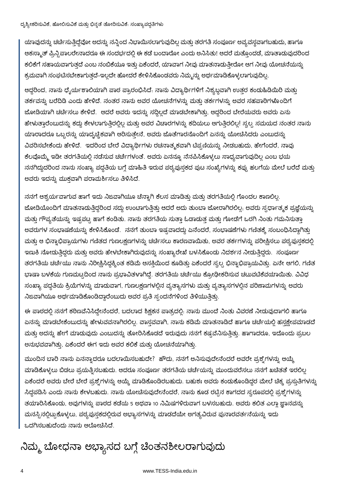ಯಾವುದನ್ನು ಚರ್ಚೆಸುತ್ತಿದ್ದೆವೋ ಅದನ್ನು ನನ್ನಿಂದ ನಿಭಾಯಿಸಲಾಗುವುದಿಲ್ಲ ಮತ್ತು ತರಗತಿ ಸಂಪೂರ್ಣ ಅವ್ಯವಸ್ಥವಾಗಬಹುದು, ಹಾಗೂ ಆಕಸ್ಮಾತ್ ಪ್ರಿನ್ಸಿಪಾಲರೇನಾದರೂ ಈ ಸಂದರ್ಭದಲ್ಲಿ ಈ ಕಡೆ ಬಂದಾರೋ ಎಂದು ಅನಿಸಿತು! ಆದರೆ ಮತ್ತೊಂದಡೆ, ಮಾತಾಡುವುದರಿಂದ ಕಲಿಕೆಗೆ ಸಹಾಯವಾಗುತ್ತದೆ ಎಂಬ ನಂಬಿಕೆಯೂ ಇತ್ತು ಏಕೆಂದರೆ, ಯಾವಾಗ ನೀವು ಮಾತನಾಡುತ್ತೀರೋ ಆಗ ನೀವು ಯೋಚನೆಯನ್ನು ಕ್ರಮವಾಗಿ ಸಂಘಟಿಸಬೇಕಾಗುತ್ತದೆ-ಇಲ್ಲದೇ ಹೋದರೆ ಕೇಳಿಸಿಕೊಂಡವರು ನಿಮ್ಮನ್ನು ಅರ್ಥಮಾಡಿಕೊಳ್ಳಲಾಗುವುದಿಲ್ಲ.

ಆದ್ದರಿಂದ, ನಾನು ಧೈರ್ಯಶಾಲಿಯಾಗಿ ಪಾಠ ಪ್ರಾರಂಭಿಸಿದೆ. ನಾನು ವಿದ್ಯಾರ್ಥಿಗಳಿಗೆ ನಿಶ್ಯಬ್ದವಾಗಿ ಉತ್ತರ ಕಂಡುಹಿಡಿಯಿರಿ ಮತ್ತು ತರ್ಕವನ್ನು ಬರೆದಿಡಿ ಎಂದು ಹೇಳಿದೆ. ನಂತರ ನಾನು ಅವರ ಯೋಚನೆಗಳನ್ನು ಮತ್ತು ತರ್ಕಗಳನ್ನು ಅವರ ಸಹಪಾಠಿಗಳೊಂದಿಗೆ ಜೋಡಿಯಾಗಿ ಚರ್ಚಿಸಲು ಕೇಳಿದೆ. ಆದರೆ ಅವರು ಇದನ್ನು ಸದ್ದಿಲ್ಲದೆ ಮಾಡಬೇಕಾಗಿತ್ತು, ಆದ್ದರಿಂದ ಬೇರೆಯವರು ಅವರು ಏನು ಹೇಳುತ್ತಾರೆಂಬುದನ್ನು ಕದ್ದು ಕೇಳಲಾಗುತ್ತಿರಲ್ಲಿಲ್ಲ ಮತ್ತು ಅವರ ವಿಚಾರಗಳನ್ನು ಕದಿಯಲು ಆಗುತ್ತಿರಲಿಲ್ಲ! ಸ್ವಲ್ಪ ಸಮಯದ ನಂತರ ನಾನು ಯಾರಾದರೂ ಒಬ್ಬರನ್ನು ಯಾದೃಚ್ಚಿಕವಾಗಿ ಆರಿಸುತ್ತೇನೆ, ಅವರು ಜೊತೆಗಾರನೊಂದಿಗೆ ಏನನ್ನು ಯೋಚಿಸಿದರು ಎಂಬುದನ್ನು ವಿವರಿಸಬೇಕೆಂದು ಹೇಳಿದೆ. ಇದರಿಂದ ಬೇರೆ ವಿದ್ಯಾರ್ಥಿಗಳು ರಚನಾತ್ಮಕವಾಗಿ ಟಿಪ್ಪಣಿಯನ್ನು ನೀಡಬಹುದು, ಹೇಗೆಂದರೆ, ನಾವು ಕೆಲವೊಮ್ಮೆ ಇಡೀ ತರಗತಿಯಲ್ಲಿ ನಡೆಸುವ ಚರ್ಚೆಗಳಂತೆ. ಅವರು ಏನನ್ನೂ ನೆನಪಿಸಿಕೊಳ್ಳಲು ಸಾಧ್ಯವಾಗುವುದಿಲ್ಲ ಎಂಬ ಭಯ ್ನನಗಿದ್ದುದರಿಂದ ನಾನು ಸಂಖ್ಯಾ ಪದ್ಧತಿಯ ಬಗ್ಗೆ ಮಾಹಿತಿ ಇರುವ ಪಠ್ಯಪುಸ್ತಕದ ಪುಟ ಸಂಖ್ಯೆಗಳನ್ನು ಕಪ್ಪು ಹಲಗೆಯ ಮೇಲೆ ಬರೆದೆ ಮತ್ತು ಅವರು ಇದನ್ನು ಮುಕ್ತವಾಗಿ ಪರಾಮರ್ಶಿಸಲು ತಿಳಿಸಿದೆ.

ನನಗೆ ಆಶ್ಚರ್ಯವಾಗುವ ಹಾಗೆ ಇದು ನಿಜವಾಗಿಯೂ ಚೆನ್ನಾಗಿ ಕೆಲಸ ಮಾಡಿತ್ತು ಮತ್ತು ತರಗತಿಯಲ್ಲಿ ಗೊಂದಲ ಕಾಣಲಿಲ್ಲ. ಜೋಡಿಯೊಂದಿಗೆ ಮಾತನಾಡುತ್ತಿದ್ದರಿಂದ ಸದ್ದು ಉಂಟಾಗುತ್ತಿತ್ತು ಆದರೆ ಅದು ತುಂಬಾ ಜೋರಾಗಿರಲಿಲ್ಲ. ಅವರು ಸ್ಪರ್ಧಾತ್ಮಕ ಪ್ರಜ್ಞೆಯನ್ನು ಮತ್ತು ಗೌಪ್ಯತೆಯನ್ನು ಇಷ್ಟಪಟ್ಟ ಹಾಗೆ ಕಂಡಿತು. ನಾನು ತರಗತಿಯ ಸುತ್ತಾ ಓಡಾಡುತ್ತ ಮತ್ತು ಗೋಡೆಗೆ ಒರಗಿ ನಿಂತು ಗಮನಿಸುತ್ತಾ ಅವರುಗಳ ಸಂಭಾಷಣೆಯನ್ನು ಕೇಳಿಸಿಕೊಂಡೆ. ನನಗೆ ತುಂಬಾ ಇಷ್ಟವಾದದ್ದು ಏನೆಂದರೆ, ಸಂಭಾಷಣೆಗಳು ಗಣಿತಕ್ಕೆ ಸಂಬಂಧಿಸಿದ್ದಾಗಿತ್ತು ಮತ್ತು ಆ ಭಿನ್ನಾಭಿಪ್ರಾಯಗಳು ಗಣಿತದ ಗುಣಲಕ್ಷಣಗಳನ್ನು ಚರ್ಚೆಸಲು ಕಾರಣವಾಯಿತು, ಅವರ ತರ್ಕಗಳನ್ನು ಪರೀಕ್ಷಿಸಲು ಪಠ್ಯಪುಸ್ತಕದಲ್ಲಿ ಇಣುಕಿ ನೋಡುತ್ತಿದ್ದರು ಮತ್ತು ಅವರು ಹೇಳಬೇಕಾಗಿರುವುದನ್ನು ಸಂಖ್ಯಾರೇಖೆ ಬಳಸಿಕೊಂಡು ನಿದರ್ಶನ ನೀಡುತ್ತಿದ್ದರು. ಸಂಪೂರ್ಣ ತರಗತಿಯ ಚರ್ಚೆಯು ನಾನು ನಿರೀಕ್ಷಿಸಿದ್ದಕ್ಕಿಂತ ಕಡಿಮೆ ಆಸಕ್ತಿಯಿಂದ ಕೂಡಿತ್ತು ಏಕೆಂದರೆ ಸ್ವಲ್ಪ ಭಿನ್ನಾಭಿಪ್ರಾಯವಿತ್ತು. ಏನೇ ಆಗಲಿ, ಗಣಿತ ಭಾಷಾ ಬಳಕೆಯ ಗುಣಮಟ್ಟದಿಂದ ನಾನು ಪ್ರಭಾವಿತಳಾಗಿದ್ದೆ. ತರಗತಿಯ ಚರ್ಚೆಯು ಕ್ರೋಢೀಕರಿಸುವ ಚಟುವಟಿಕೆವಯಾಯಿತು. ವಿವಿಧ ಸಂಖ್ಯಾ ಪದ್ಧತಿಯ ಕ್ರಿಯೆಗಳನ್ನು ಮಾಡುವಾಗ, ಗುಣಲಕ್ಷಣಗಳಲ್ಲಿನ ವ್ಯತ್ಯಾಸಗಳು ಮತ್ತು ವ್ಯತ್ಯಾಸಗಳಲ್ಲಿನ ಪರಿಣಾಮಗಳನ್ನು ಅವರು ನಿಜವಾಗಿಯೂ ಅರ್ಥಮಾಡಿಕೊಂಡಿದ್ದಾರೆಂಬುದು ಅವರ ಪ್ರತಿ ಸ್ಪಂದನೆಗಳಿಂದ ತಿಳಿಯುತ್ತಿತ್ತು.

ಈ ಪಾಠದಲ್ಲಿ ನನಗೆ ಕಠಿಣವೆನಿಸಿದ್ದೇನೆಂದರೆ, ಬದಲಾದ ಶಿಕ್ಷಕನ ಪಾತ್ರದಲ್ಲಿ. ನಾನು ಮುಂದೆ ನಿಂತು ವಿವರಣೆ ನೀಡುವುದಾಗಲಿ ಹಾಗೂ ಏನನ್ನು ಮಾಡಬೇಕೆಂಬುದನ್ನು ಹೇಳುವವನಾಗಿರಲಿಲ್ಲ. ವಾಸ್ತವವಾಗಿ, ನಾನು ಕಡಿಮೆ ಮಾತನಾಡಿದೆ ಹಾಗೂ ಚರ್ಚೆಯಲ್ಲಿ ಹಸ್ತಕ್ಷೇಪಮಾಡದೆ ಮತ್ತು ಅದನ್ನು ಹೇಗೆ ಮಾಡುವುದು ಎಂಬುದನ್ನು ತೋರಿಸಿಕೊಡದೆ ಇರುವುದು ನನಗೆ ಕಷ್ಟವೆನಿಸುತ್ತಿತ್ತು. ಹಾಗಾದರೂ, ಇದೊಂದು ಪ್ರಬಲ ಅನುಭವವಾಗಿತ್ತು, ಏಕೆಂದರೆ ಈಗ ಇದು ಅವರ ಕಲಿಕೆ ಮತ್ತು ಯೋಚನೆಯಾಗಿತ್ತು.

ಮುಂದಿನ ಬಾರಿ ನಾನು ಏನನ್ನಾದರೂ ಬದಲಾಯಿಸಬಹುದೇ? ಹೌದು, ನನಗೆ ಅನಿಸುವುದೇನೆಂದರೆ ಅವರೇ ಪ್ರಶ್ನೆಗಳನ್ನು ಆಯ್ಕೆ ಮಾಡಿಕೊಳ್ಳಲು ಬಿಡಲು ಪ್ರಯತ್ನಿಸಬಹುದು. ಆದರೂ ಸಂಪೂರ್ಣ ತರಗತಿಯ ಚರ್ಚೆಯನ್ನು ಮುಂದುವರೆಸಲು ನನಗೆ ಖಚಿತತೆ ಇರಲಿಲ್ಲ ಏಕೆಂದರೆ ಅವರು ಬೇರೆ ಬೇರೆ ಪ್ರಶ್ನೆಗಳನ್ನು ಆಯ್ಕೆ ಮಾಡಿಕೊಂಡಿರಬಹುದು. ಬಹುಶಃ ಅವರು ಕಂಡುಕೊಂಡಿದ್ದರ ಮೇಲೆ ಚಿಕ್ಕ ಪ್ರಸ್ತುತಿಗಳನ್ನ ಸಿದ್ದಪಡಿಸಿ ಎಂದು ನಾನು ಕೇಳಬಹುದು. ನಾನು ಯೋಚಿಸುವುದೇನೆಂದರೆ, ನಾನು ಕೂಡ ರಟ್ಟಿನ ಕಾಗದದ ಸ್ವರೂಪದಲ್ಲಿ ಪ್ರಶ್ನೆಗಳನ್ನು ತಯಾರಿಸಿಕೊಂಡು, ಅವುಗಳನ್ನು ಪಾಠದ ಕಡೆಯ 5 ಅಥವಾ 10 ನಿಮಿಷಗಳಿರುವಾಗ ಬಳಸಬಹುದು. ಅವರು ಕಲಿತ ಎಲ್ಲಾ ಜ್ಞಾನವನ್ನು ಮನಸ್ಸಿನಲ್ಲಿಟ್ಟುಕೊಳ್ಳಲು, ಪಠ್ಯಪುಸ್ತಕದಲ್ಲಿರುವ ಅಭ್ಯಾಸಗಳನ್ನು ಮಾಡದೆಯೇ ಅಗತ್ಯವಿರುವ ಪುನಾರವರ್ತನೆಯನ್ನು ಇದು ್ದದಗಿಸಬಹುದೆಂದು ನಾನು ಆಲೋಚಿಸಿದೆ.

ನಿಮ್ಮ ಬೋಧನಾ ಅಭ್ಯಾಸದ ಬಗ್ಗೆ ಚಿಂತನಶೀಲರಾಗುವುದು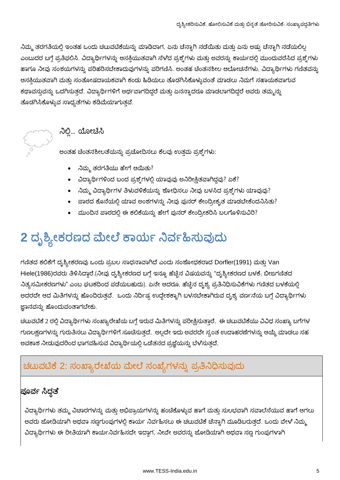ನಿಮ್ಮ ತರಗತಿಯಲ್ಲಿ ಇಂತಹ ಒಂದು ಚಟುವಟಿಕೆಯನ್ನು ಮಾಡಿದಾಗ, ಏನು ಚೆನ್ನಾಗಿ ನಡೆಯಿತು ಮತ್ತು ಏನು ಅಷ್ಟು ಚೆನ್<mark>ಡಾ</mark>ಗಿ ನಡೆಯಲಿಲ್ಲ ಎಂಬುದರ ಬಗ್ಗೆ ಪ್ರತಿಫಲಿಸಿ. ವಿದ್ಯಾರ್ಥಿಗಳನ್ನು ಆಸಕ್ತಿಯುತವಾಗಿ ಸೆಳೆದ ಪ್ರಶ್ನೆಗಳು ಮತ್ತು ಅವರನ್ನು ಕಾರ್ಯದಲ್ಲಿ ಮುಂದುವರೆಸಿದ ಪ್ರಶ್ನೆಗಳು ಹಾಗೂ ನೀವು ಸಂಶಯಗಳನ್ನು ಪರಿಹರಿಸಬೇಕಾದುವುಗಳನ್ನು ಪರಿಗಣಿಸಿ. ಅಂತಹ ಚೆಂತನಶೀಲ ಆಲೋಚನೆಗಳು, ವಿದ್ಯಾರ್ಥಿಗಳು ಗಣಿತವನ್ನು ಆಸಕ್ತಿಯುತವಾಗಿ ಮತ್ತು ಸಂತೋಷದಾಯಕವಾಗಿ ಕಂಡು ಹಿಡಿಯಲು ತೊಡಗಿಸಿಕೊಳ್ಳುವಂತೆ ಮಾಡಲು ನಿಮಗೆ ಸಹಾಯಕವಾಗುವ ಕಥಾವಸ್ತುವನ್ನು ಒದಗಿಸುತ್ತದೆ. ವಿದ್ಯಾರ್ಥಿಗಳಿಗೆ ಅರ್ಥವಾಗದಿದ್ದರೆ ಮತ್ತು ಏನನ್ನಾದರೂ ಮಾಡಲಾಗದಿದ್ದರೆ ಅವರು ತಮ್ಮನ್ನು ತೊಡಗಿಸಿಕೊಳ್ಳುವ ಸಾಧ್ಯತೆಗಳು ಕಡಿಮೆಯಾಗುತ್ತವೆ.



ನಿಲ್ಲಿ... ಯೋಚಿಸಿ

ಅಂತಹ ಚೆಂತನಶೀಲತೆಯನ್ನು ಪ್ರಚೋದಿಸಲು ಕೆಲವು ಉತ್ತಮ ಪ್ರಶ್ನೆಗಳು:

- ನಿಮ್ಮ ತರಗತಿಯು ಹೇಗೆ ಆಯಿತು?
- ವಿದ್ಯಾರ್ಥಿಗಳಿಂದ ಬಂದ ಪ್ರಶ್ನೆಗಳಲ್ಲಿ ಯಾವುವು ಅನಿರೀಕ್ಷಿತವಾಗಿದ್ದವು? ಏಕೆ?
- ನಿಮ್ಮ ವಿದ್ಯಾರ್ಥಿಗಳ ತಿಳುವಳಿಕೆಯನ್ನು ಶೋಧಿಸಲು ನೀವು ಬಳಸಿದ ಪ್ರಶ್ನೆಗಳು ಯಾವುವು?
- ಪಾಠದ ಕೊನೆಯಲ್ಲಿ ಯಾವ ಅಂಶಗಳನ್ನು ನೀವು ಪುನರ್ ಕೇಂದ್ರೀಕೃತ ಮಾಡಬೇಕೆಂದನಿಸಿತು?
- ಮುಂದಿನ ಪಾಠದಲ್ಲಿ ಈ ಕಲಿಕೆಯನ್ನು ಹೇಗೆ ಪುನರ್ ಕೇಂದ್ರೀಕರಿಸಿ ಬಲಗೊಳಿಸುವಿರಿ?

# 2 ದೃಶ್ಯೀಕರಣದ ಮೇಲೆ ಕಾರ್ಯ ನಿರ್ವಹಿಸುವುದು

ಗಣಿತದ ಕಲಿಕೆಗೆ ದೃಶ್ಯೀಕರಣವು ಒಂದು ಪ್ರಬಲ ಸಾಧನಾವಾಗಿದೆ ಎಂದು ಸಂಶೋಧಕರಾದ Dorfler(1991) ಮತ್ತು Van Hiele(1986)ರವರು ತಿಳಿಸಿದ್ದಾರೆ.(ನೀವು ದೃಶ್ಯೀಕರಣದ ಬಗ್ಗೆ ಇನ್ನೂ ಹೆಚ್ಚಿನ ವಿಷಯವನ್ನು "ದೃಶ್ಯೀಕರಣದ ಬಳಕೆ, ಬೀಜಗಣಿತದ ನಿತ್ಯಸಮೀಕರಣಗಳು" ಎಂಬ ಘಟಕದಿಂದ ಪಡೆಯಬಹುದು). ಏನೇ ಆದರೂ, ಹೆಚ್ಚಿನ ದೃಶ್ಯ ಪ್ರತಿನಿಧಿಸುವಿಕೆಗಳು ಗಣಿತದ ಬಳಕೆಯಲ್ಲಿ ಅದರದೇ ಆದ ಮಿತಿಗಳನ್ನು ಹೊಂದಿರುತ್ತವೆ. ಒಂದು ನಿರ್ದಿಷ್ಟ ಉದ್ದೇಶಕ್ಕಾಗಿ ಬಳಸಬೇಕಾಗಿರುವ ದೃಶ್ಯ ವರ್ಣನೆಯ ಬಗ್ಗೆ ವಿದ್ಯಾರ್ಥಿಗಳು ಜ್ಞಾನವನ್ನು ಹೊಂದುವಂತಾಗಬೇಕು.

ಚಟುವಟಿಕೆ 2 ರಲ್ಲಿ ವಿದ್ಯಾರ್ಥಿಗಳು ಸಂಖ್ಯಾರೇಖೆಯ ಬಗ್ಗೆ ಇರುವ ಮಿತಿಗಳನ್ನು ಪರೀಕ್ಷಿಸುತ್ತಾರೆ. ಈ ಚಟುವಟಿಕೆಯು ವಿವಿಧ ಸಂಖ್ಯಾ ಬಗೆಗಳ ಗುಣಲಕ್ಷಣಗಳನ್ನು ಗುರುತಿಸಲು ವಿದ್ಯಾರ್ಥಿಗಳಿಗೆ ಸೂಚಿಸುತ್ತದೆ. ಅಲ್ಲದೇ ಇದು ಅವರದೇ ಸ್ವಂತ ಉದಾಹರಣೆಗಳನ್ನು ಆಯ್ಕೆ ಮಾಡಲು ಸಹ ಅವಕಾಶ ನೀಡುವುದರಿಂದ ಭಾಗವಹಿಸುವ ವಿದ್ಯಾರ್ಥಿಯಲ್ಲಿ ಒಡೆತನದ ಪ್ರಜ್ಞೆಯನ್ನು ಬೆಳೆಸುತ್ತದೆ.

### ಚಟುವಟಿಕೆ 2: ಸಂಖ್ಯಾರೇಖೆಯ ಮೇಲೆ ಸಂಖ್ಯೆಗಳನ್ನು ಪ್ರತಿನಿಧಿಸುವುದು

### ಪೂರ್ವ ಸಿದ್ಧತೆ

ವಿದ್ಯಾರ್ಥಿಗಳು ತಮ್ಮ ವಿಚಾರಗಳನ್ನು ಮತ್ತು ಅಭಿಪ್ರಾಯಗಳನ್ನು ಹಂಚಿಕೊಳ್ಳುವ ಹಾಗೆ ಮತ್ತು ಸುಲಭವಾಗಿ ಸವಾಲೆಸೆಯುವ ಹಾಗೆ ಆಗಲು ಅವರು ಜೋಡಿಯಾಗಿ ಅಥವಾ ಸಣ್ಣಗುಂಪುಗಳಲ್ಲಿ ಕಾರ್ಯ ನಿರ್ವಹಿಸಲು ಈ ಚಟುವಟಿಕೆ ಚೆನ್ನಾಗಿ ಮೂಡಿಬರುತ್ತದೆ. ಒಂದು ವೇಳೆ ನಿಮ್ಮ ವಿದ್ಯಾರ್ಥಿಗಳು ಈ ರೀತಿಯಾಗಿ ಕಾರ್ಯನಿರ್ವಹಿಸದೇ ಇದ್ದಾಗ, ನೀವೇ ಅವರನ್ನು ಜೋಡಿಯಾಗಿ ಅಥವಾ ಸಣ್ಣ ಗುಂಪುಗಳಾಗಿ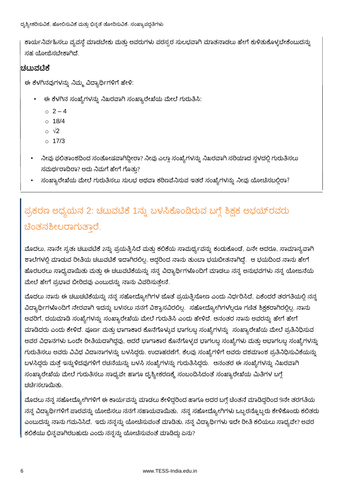ಕಾರ್ಯನಿರ್ವಹಿಸಲು ವ್ಯವಸ್ಥೆ ಮಾಡಬೇಕು ಮತ್ತು ಅವರುಗಳು ಪರಸ್ಪರ ಸುಲಭವಾಗಿ ಮಾತನಾಡಲು ಹೇಗೆ ಕುಳಿತುಕೊಳ್ಳಬೇಕೆಂಬುದನ್ನು ಸಹ ಯೋಜಿಸಬೇಕಾಗಿದೆ.

#### |ಚಟುವ**ಟಿ**ಕೆ

ಈ ಕೆಳಗಿನವುಗಳನ್ನು ನಿಮ್ಮ ವಿದ್ಯಾರ್ಥಿಗಳಿಗೆ ಹೇಳಿ:

- ಈ ಕೆಳಗಿನ ಸಂಖ್ಯೆಗಳನ್ನು ನಿಖರವಾಗಿ ಸಂಖ್ಯಾರೇಖೆಯ ಮೇಲೆ ಗುರುತಿಸಿ:
	- $02 4$
	- $\circ$  18/4
	- $\circ \sqrt{2}$
	- $0.17/3$
- ನೀವು ಫಲಿತಾಂಶದಿಂದ ಸಂತೋಷವಾಗಿದ್ದೀರಾ? ನೀವು ಎಲ್ಲಾ ಸಂಖ್ಯೆಗಳನ್ನು ನಿಖರವಾಗಿ ಸರಿಯಾದ ಸ್ಥಳದಲ್ಲಿ ಗುರುತಿಸಲು ್ಸಮರ್ಥರಾದಿರಾ? ಅದು ನಿಮಗೆ ಹೇಗೆ ಗೊತು?
- ಸಂಖ್ಯಾರೇಖೆಯ ಮೇಲೆ ಗುರುತಿಸಲು ಸುಲಭ ಅಥವಾ ಕಠಿಣವೆನಿಸುವ ಇತರೆ ಸಂಖ್ಯೆಗಳನ್ನು ನೀವು ಯೋಚಿಸಬಲ್ಲಿರಾ?

## ಪ್ರಕರಣ ಅಧ್ಯಯನ 2: ಚಟುವಟಿಕೆ 1ನ್ನು ಬಳಸಿಕೊಂಡಿರುವ ಬಗ್ಗೆ ಶಿಕ್ಷಕ ಅಭಯ್ರದರು ಚಿಂತನಶೀಲರಾಗುತಾರೆ.

ಮೊದಲು, ನಾನೇ ಸ್ವತಃ ಚಟುವಟಿಕೆ 2ನ್ನು ಪ್ರಯತ್ನಿಸಿದೆ ಮತ್ತು ಕಲಿಕೆಯ ಸಾಮರ್ಥ್ಯವನ್ನು ಕಂಡುಕೊಂಡೆ, ಏನೇ ಆದರೂ, ಸಾಮಾನ್ಯವಾಗಿ ಶಾಲೆಗಳಲ್ಲಿ ಮಾಡುವ ರೀತಿಯ ಚಟುವಟಿಕೆ ಇದಾಗಿರಲಿಲ್ಲ. ಆದ್ದರಿಂದ ನಾನು ತುಂಬಾ ಭಯಬೀತನಾಗಿದ್ದೆ. ಆ ಭಯದಿಂದ ನಾನು ಹೇಗೆ ಹೊರಬರಲು ಸಾಧ್ಯವಾಯಿತು ಮತ್ತು ಈ ಚಟುವಟಿಕೆಯನ್ನು ನನ್ನ ವಿದ್ಯಾರ್ಥಿಗಳೊಂದಿಗೆ ಮಾಡಲು ನನ್ನ ಅನುಭವಗಳು ನನ್ನ ಯೋಜನೆಯ ಮೇಲೆ ಹೇಗೆ ಪ್ರಭಾವ ಬೀರಿದವು ಎಂಬುದನ್ನು ನಾನು ವಿವರಿಸುತ್ತೇನೆ.

<mark>ಮೊದಲು ನಾನು ಈ ಚಟುಚಟಿಕೆಯನ್ನು ನನ್ನ ಸಹೋದ್ಯ</mark>ೋಗಿಗಳ ಜೊತೆ ಪ್ರಯತ್ನಿಸೋಣ ಎಂದು ನಿರ್ಧರಿಸಿದೆ, ಏಕೆಂದರೆ ತರಗತಿಯಲ್ಲಿ ನನ್ನ ್ಷಿದ್ಯಾರ್ಥಿಗಳೊಂದಿಗೆ ನೇರವಾಗಿ ಇದನ್ನು ಬಳಸಲು ನನಗೆ ವಿಶ್ವಾಸವಿರಲಿಲ್ಲ. ಸಹೋದ್ಯೋಗಿಗಳಲ್ಲರೂ ಗಣಿತ ಶಿಕ್ಷಕರಾಗಿರಲ್ಲಿಲ್ಲ, ನಾನು ಅವರಿಗೆ, ದಯಮಾಡಿ ಸಂಖ್ಯೆಗಳನ್ನು ಸಂಖ್ಯಾರೇಖೆಯ ಮೇಲೆ ಗುರುತಿಸಿ ಎಂದು ಹೇಳಿದೆ. ಆನಂತರ ನಾನು ಅವರನ್ನು ಹೇಗೆ ಹೇಗೆ ಮಾಡಿದರು ಎಂದು ಕೇಳಿದೆ. ಪೂರ್ಣ ಮತ್ತು ಭಾಗಾಕಾರ ಕೊನೆಗೊಳ್ಳುವ ಭಾಗಲಬ್ದ ಸಂಖ್ಯೆಗಳನ್ನು ಸಂಖ್ಯಾರೇಖೆಯ ಮೇಲೆ ಪ್ರತಿನಿಧಿಸುವ ಅವರ ವಿಧಾನಗಳು ಒಂದೇ ರೀತಿಯದಾಗಿದ್ದವು, ಆದರೆ ಭಾಗಾಕಾರ ಕೊನೆಗೊಳ್ಳದ ಭಾಗಲಬ್ದ ಸಂಖ್ಯೆಗಳು ಮತ್ತು ಅಭಾಗಲಬ್ದ ಸಂಖ್ಯೆಗಳನ್ನು ಗುರುತಿಸಲು ಅವರು ವಿವಿಧ ವಿದಾನಾಗಳನ್ನು ಬಳಸಿದ್ದರು. ಉದಾಹರಣೆಗೆ, ಕೆಲವು ಸಂಖ್ಯೆಗಳಿಗೆ ಅವರು ದಶಮಾಂಶ ಪ್ರತಿನಿಧಿಸುವಿಕೆಯನ್ನು ಬಳಸಿದ್ದರು ಮತ್ತೆ ಇನ್ನುಳಿದವುಗಳಿಗೆ ರಚನೆಯನ್ನು ಬಳಸಿ ಸಂಖ್ಯೆಗಳನ್ನು ಗುರುತಿಸಿದ್ದರು. ಆನಂತರ ಈ ಸಂಖ್ಯೆಗಳನ್ನು ನಿಖರವಾಗಿ ಸಂಖ್ಯಾರೇಖೆಯ ಮೇಲೆ ಗುರುತಿಸಲು ಸಾಧ್ಯವೇ ಹಾಗೂ ದೃಶ್ಯೀಕರಣಕ್ಕೆ ಸಂಬಂದಿಸಿದಂತೆ ಸಂಖ್ಯಾರೇಖೆಯ ಮಿತಿಗಳ ಬಗ್ಗೆ ಚರ್ಚಿಸಲಾಯಿತು.

-ಮೊದಲು ನನ್ನ ಸಹೋದ್ಯೋಗಿಗಳಿಗೆ ಈ ಕಾರ್ಯವನ್ನು ಮಾಡಲು ಕೇಳಿದ್ದರಿಂದ ಹಾಗೂ ಅದರ ಬಗ್ಗೆ ಚಿಂತನೆ ಮಾಡಿದ್ದರಿಂದ 9ನೇ ತರಗತಿಯ ನನ್ನ ವಿದ್ಯಾರ್ಥಿಗಳಿಗೆ ಪಾಠವನ್ನು ಯೋಜಿಸಲು ನನಗೆ ಸಹಾಯವಾಯಿತು. ನನ್ನ ಸಹೋದ್ಯೋಗಿಗಳು ಒಬ್ಬರನ್ನೊಬ್ಬರು ಕೇಳಿಕೊಂಡು ಕಲಿತರು ಎಂಬುದನ್ನು ನಾನು ಗಮನಿಸಿದೆ. ಇದು ನನ್ನನ್ನು ಯೋಚಿಸುವಂತೆ ಮಾಡಿತು. ನನ್ನ ವಿದ್ಯಾರ್ಥಿಗಳು ಇದೇ ರೀತಿ ಕಲಿಯಲು ಸಾಧ್ಯವೇ? ಅವರ ಕಲಿಕೆಯು ಭಿನ್ನವಾಗಿರಬಹುದು ಎಂದು ನನ್ನನ್ನು ಯೋಚೆಸುವಂತೆ ಮಾಡಿದ್ದು ಏನು?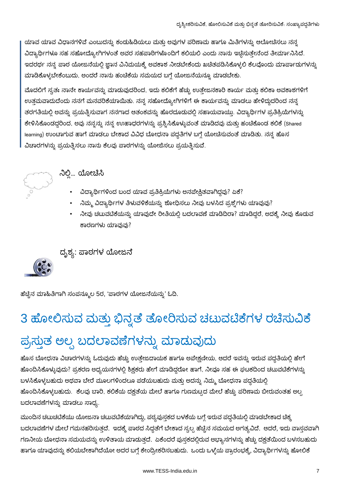ಯಾವ ಯಾವ ವಿಧಾನಗಳಿವೆ ಎಂಬುದನ್ನು ಕಂಡುಹಿಡಿಯಲು ಮತ್ತು ಅವುಗಳ ಪರಿಣಾಮ ಹಾಗೂ ಮಿತಿಗಳನ್ನು ಆಲೋಚಿಸಲು ನನ್ನ ವಿದ್ಯಾರ್ಥಿಗಳೂ ಸಹ ಸಹೋದ್ಯೋಗಿಗಳಂತೆ ಅವರ ಸಹಪಾಠಿಗಳೊಂದಿಗೆ ಕಲಿಯಲಿ ಎಂದು ನಾನು ಇಚ್ಛಿಸುತ್ತೇನೆಂದ ತೀರ್ಮಾನಿಸಿದೆ. ಇದರರ್ಥ ನನ್ನ ಪಾಠ ಯೋಜನೆಯಲ್ಲಿ ಜ್ಞಾನ ವಿನಿಮಯಕ್ಕೆ ಅವಕಾಶ ನೀಡಬೇಕೆಂದು ಖಚಿತಪಡಿಸಿಕೊಳ್ಳಲಿ ಕೆಲವೊಂದು ಮಾರ್ಪಾಡುಗಳನ್ನು ಮಾಡಿಕೊಳ್ಳಬೇಕೆಂಬುದು, ಅಂದರೆ ನಾನು ಹಂಚಿಕೆಯ ಸಮಯದ ಬಗ್ಗೆ ಯೋಜನೆಯನ್ನೂ ಮಾಡಬೇಕು.

ಮೊದಲಿಗೆ ಸ್ವತಃ ನಾನೇ ಕಾರ್ಯವನ್ನು ಮಾಡುವುದರಿಂದ, ಇದು ಕಲಿಕೆಗೆ ಹೆಚ್ಚು ಉತ್ತೇಜನಕಾರಿ ಕಾರ್ಯ ಮತ್ತು ಕಲಿಕಾ ಅವಕಾಶಗಳಿಗೆ ಉತ್ತಮವಾದುದೆಂದು ನನಗೆ ಮನವರಿಕೆಯಾಯಿತು. ನನ್ನ ಸಹೋದ್ಯೋಗಿಗಳಿಗೆ ಈ ಕಾರ್ಯವನ್ನು ಮಾಡಲು ಹೇಳಿದ್ದುದರಿಂದ ನನ್ನ ತರಗತಿಯಲ್ಲಿ ಅವನ್ನು ಪ್ರಯತ್ನಿಸುವಾಗ ನನಗಾದ ಆತಂಕವನ್ನು ಹೊರದೂಡುವಲ್ಲಿ ಸಹಾಯವಾಯ್ತು. ವಿದ್ಯಾರ್ಥಿಗಳ ಪ್ರತಿಕ್ರಿಯೆಗಳನ್ನು ಕೇಳಿಸಿಕೊಂಡದ್ದರಿಂದ, ಅವು ನನ್ನನ್ನು ನನ್ನ ಉುಹಾಧರಗಳನ್ನು ಪ್ರಶ್ನಿಸಿಕೊಳ್ಳುವಂತೆ ಮಾಡಿದವು ಮತ್ತು ಹಂಚಿಕೊಂಡ ಕಲಿಕೆ (Shared learning) ಉಂಟಾಗುವ ಹಾಗೆ ಮಾಡಲು ಬೇಕಾದ ವಿವಿಧ ಬೋಧನಾ ಪದ್ಧತಿಗಳ ಬಗ್ಗೆ ಯೋಚಿಸುವಂತೆ ಮಾಡಿತು. ನನ್ನ ಹೊಸ ವಿಚಾರಗಳನ್ನು ಪ್ರಯತ್ನಿಸಲು ನಾನು ಕೆಲವು ಪಾಠಗಳನ್ನು ಯೋಜಿಸಲು ಪ್ರಯತ್ನಿಸುವೆ.



### ನಿಲ್ಲಿ... ಯೋಚಿಸಿ

- ವಿದ್ಯಾರ್ಥಿಗಳಿಂದ ಬಂದ ಯಾವ ಪ್ರತಿಕ್ರಿಯೆಗಳು ಅನಪೇಕ್ಷಿತವಾಗಿದ್ದವು? ಏಕೆ?
- ನಿಮ್ಮ ವಿದ್ಯಾರ್ಥಿಗಳ ತಿಳುವಳಿಕೆಯನ್ನು ಶೋಧಿಸಲು ನೀವು ಬಳಸಿದ ಪ್ರಶ್ನೆಗಳು ಯಾವುವು?
- ನೀವು ಚಟುವಟಿಕೆಯನ್ನು ಯಾವುದೇ ರೀತಿಯಲ್ಲಿ ಬದಲಾವಣೆ ಮಾಡಿದಿರಾ? ಮಾಡಿದ್ದರೆ, ಅದಕ್ಕೆ ನೀವು ಕೊಡುವ ಕಾರಣಗಳು ಯಾವುವು?

ದೃಶ್ಯ: ಪಾಠಗಳ <mark>ಯೋ</mark>ಜನೆ

ಹೆಚ್ಚಿನ ಮಾಹಿತಿಗಾಗಿ ಸಂಪನ್ಮೂಲ 5ರ, 'ಪಾಠಗಳ ಯೋಜನೆಯನ್ನು' ಓದಿ.

# 3 ಹೋಲಿಸುವ ಮತ್ತು ಭಿನ್ನತೆ ತೋರಿಸುವ ಚಟುವಟಿಕೆಗಳ ರಚೆಸುವಿಕೆ ಪ್ರಸ್ತುತ ಅಲ್ಪ ಬದಲಾವಣೆಗಳನ್ನು ಮಾಡುವುದು

ಹೊಸ ಬೋಧನಾ ವಿಚಾರಗಳನ್ನು ಓದುವುದು ಹೆಚ್ಚು ಉತ್ತೇಜದಾಯಕ ಹಾಗೂ ಅಪೇಕ್ಷಣೀಯ, ಆದರೆ ಇವನ್ನು ಇರುವ ಪದ್ಧತಿಯಲ್ಲಿ ಹೇಗೆ ಹೊಂದಿಸಿಕೊಳ್ಳುವುದು? ಪ್ರಕರಣ ಅಧ್ಯಯನಗಳಲ್ಲಿ ಶಿಕ್ಷಕರು ಹೇಗೆ ಮಾಡಿದ್ದರೋ ಹಾಗೆ, ನೀವೂ ಸಹ ಈ ಘಟಕದಿಂದ ಚಟುವಟಿಕೆಗಳನ್ನು ಬಳಸಿಕೊಳ್ಳಬಹುದು ಅಥವಾ ಬೇರೆ ಮೂಲಗಳಿಂದಲೂ ಪಡೆಯಬಹುದು ಮತ್ತು ಅದನ್ನು ನಿಮ್ಮ ಬೋಧನಾ ಪದ್ಧತಿಯಲ್ಲಿ ಹೊಂದಿಸಿಕೊಳ್ಳಬಹುದು. ಕೆಲವು ಬಾರಿ, ಕಲಿಕೆಯ ದಕ್ಷತೆಯ ಮೇಲೆ ಹಾಗೂ ಗುಣಮಟ್ಟದ ಮೇಲೆ ಹೆಚ್ಚು ಪರಿಣಾಮ ಬೀರುವಂತಹ ಅಲ್ಬ ಬದಲಾವಣೆಗಳನ್ನು ಮಾಡಲು ಸಾಧ್ಯ.

ಮುಂದಿನ ಚಟುಚಟಿಕೆಯು ಯೋಜನಾ ಚಟುವಟಿಕೆಯಾಗಿದ್ದು, ಪಠ್ಯಪುಸ್ತಕದ ಬಳಕೆಯ ಬಗ್ಗೆ ಇರುವ ಪದ್ಧತಿಯಲ್ಲಿ ಮಾಡಬೇಕಾದ ಚಿಕ್ಕ ಬದಲಾವಣೆಗಳ ಮೇಲೆ ಗಮನಹರಿಸುತ್ತದೆ. ಇದಕ್ಕೆ ಪಾಠದ ಸಿದ್ಧತೆಗೆ ಬೇಕಾದ ಸ್ವಲ್ಪ ಹೆಚ್ಚಿನ ಸಮಯದ ಅಗತ್ಯವಿದೆ. ಆದರೆ, ಇದು ವಾಸ್ತವವಾಗಿ ಗಣನೀಯ ಬೋಧನಾ ಸಮಯವನ್ನು ಉಳಿತಾಯ ಮಾಡುತ್ತದೆ. ಏಕೆಂದರೆ ಪುಸ್ತಕದಲ್ಲಿರುವ ಅಭ್ಯಾಸಗಳನ್ನು ಹೆಚ್ಚು ದಕ್ಷತೆಯಿಂದ ಬಳಸಬಹುದು ಹಾಗೂ ಯಾವುದನ್ನು ಕಲಿಯಬೇಕಾಗಿದೆಯೋ ಅದರ ಬಗ್ಗೆ ಕೇಂದ್ರೀಕರಿಸಬಹುದು. ಒಂದು ಒಳ್ಳೆಯ ಪ್ರಾರಂಭಕ್ಕೆ, ವಿದ್ಯಾರ್ಥಿಗಳನ್ನು ಹೋಲಿಕೆ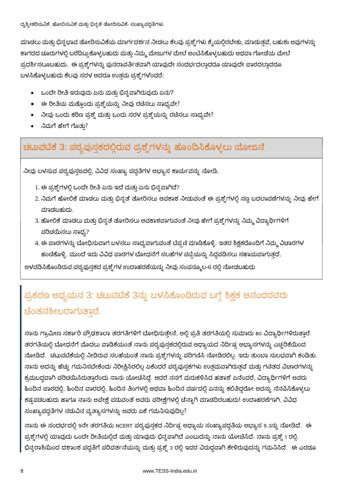ಮಾಡಲು ಮತ್ತು ಭಿನ್ನಭಾವ ತೋರಿಸುವಿಕೆಯ ಮಾರ್ಗದರ್ಶನ ನೀಡಲು ಕೆಲವು ಪ್ರಶ್ನೆಗಳು ಕ್ಶೆಯಲ್ಲಿರಬೇಕು, ಮಾಡುತ್ತವೆ, ಬಹುಶಃ ಅವುಗಳನ್ನು ಕಾಗದದ ಚೂರುಗಳಲ್ಲಿ ಬರೆದಿಟ್ಟುಕೊಳ್ಳಬಹುದು ಮತ್ತು ನಿಮ್ಮ ಮೇಜುಗಳ ಮೇಲೆ ಅಂಟಿಸಿಕೊಳ್ಳಬಹುದು ಅಥವಾ ಗೋಡೆಯ ಮೇಲೆ ಪ್ರದರ್ಶಿಸಲೂಬಹುದು. ಈ ಪ್ರಶ್ನೆಗಳನ್ನು ಪುನರಾವರ್ತಿತವಾಗಿ ಯಾವುದೇ ಸಂದರ್ಭದಲ್ಲಾದರೂ ಯಾವುದೇ ಪಾಠದಲ್ಲಾದರೂ ಬಳಸಿಕೊಳ್ಳಬಹುದು ಕೆಲವು ಸರಳ ಆದರೂ ಉತ್ತಮ ಪ್ರಶ್ನೆಗಳೆಂದರೆ:

- ಒಂದೇ ರೀತಿ ಇರುವುದು ಏನು ಮತ್ತು ಭಿನ್ನವಾಗಿರುವುದು ಏನು?
- ಈ ರೀತಿಯ ಮತ್ತೊಂದು ಪ್ರಶ್ನೆಯನ್ನು ನೀವು ರಚಿಸಲು ಸಾಧ್ಯವೇ?
- ನೀವು ಒಂದು ಕಠಿಣ ಪ್ರಶ್ನೆ ಮತ್ತು ಒಂದು ಸರಳ ಪ್ರಶ್ನೆಯನ್ನು ರಚೆಸಲು ಸಾಧ್ಯವೇ?
- ನಿಮಗೆ ಹೇಗೆ ಗೊತು?

### ಚಟುವಟಿಕೆ 3: ಪಠ್ಯಪುಸ್ತಕದಲ್ಲಿರುವ ಪ್ರಶ್ನೆಗಳನ್ನು ಹೊಂದಿಸಿಕೊಳ್ಳಲು ಯೋಜನೆ

ನೀವು ಬಳಸುವ ಪಠ್ಯಪುಸ್ತಜದಲ್ಲಿ, ವಿವಿಧ ಸಂಖ್ಯಾ ಪದ್ದತಿಗಳ ಅಭ್ಯಾಸ ಕಾರ್ಯವನ್ನು ನೋಡಿ.

- 1. ಈ ಪ್ರಶ್ನೆಗಳಲ್ಲಿ ಒಂದೇ ರೀತಿ ಏನು ಇದೆ ಮತ್ತು ಏನು ಭಿನ್ನವಾಗಿದೆ?
- 2. ನಿಮಗೆ ಹೋಲಿಕೆ ಮಾಡಲು ಮತ್ತು ಭಿನ್ನತೆ ತೋರಿಸಲು ಅವಕಾಶ ನೀಡುವಂತೆ ಈ ಪ್ರಶ್ನೆಗಳಲ್ಲಿ ಸಣ್ಣ ಬದಲಾವಣೆಗಳನ್ನು ನೀವು ಹೇಗೆ ಮಾಡಬಹುದು.
- 3. ಹೋಲಿಕೆ ಮಾಡಲು ಮತ್ತು ಭಿನ್ನತೆ ತೋರಿಸಲು ಅವಕಾಶವಾಗುವಂತೆ ನೀವು ಹೇಗೆ ಪ್ರಶ್ನೆಗಳನ್ನು ನಿಮ್ಮ ವಿದ್ಯಾರ್ಥಿಗಳಿಗೆ ಪರಿಚಯಿಸಲು ಸಾಧ್ಯ?
- 4. ಈ ಪಾಠಗಳನ್ನು ಬೋಧಿಸುವಾಗ ಬಳಸಲು ಸಾಧ್ಯವಾಗುವಂತೆ ಟಿಪ್ಪಣಿ ಮಾಡಿಕೊಳ್ಳಿ. ಇತರ ಶಿಕ್ಷಕರೊಂದಿಗೆ ನಿಮ್ಮ ವಿಚಾರಗಳ ಹಂಚಿಕೊಳ್ಳಿ. ಮುಂದೆ ಇದು ವಿವಿಧ ಪಾಠಗಳ ಬೋಧನೆಗೆ ಸಲಹೆಗಳ ಪಟ್ಟಿಯನ್ನು ಸಿದ್ಧಪಡಿಸಲು ಸಹಾಯವಾಗುತ್ತದೆ.

ಅಳವಡಿಸಿಕೊಂಡಿರುವ ಪಠ್ಯಪುಸ್ತಕದ ಪ್ರಶ್ನೆಗಳ ಉದಾಹರಣೆಯನ್ನು ನೀವು ಸಂಪನ್ಮೂಲ-6 ರಲ್ಲಿ ನೋಡಬಹುದು

## ಪ್ರಕರಣ ಅಧ್ಯಯನ 3: ಚಟುವಟಿಕೆ 3ನ್ನು ಬಳಸಿಕೊಂಡಿರುವ ಬಗ್ಗೆ ಶಿಕ್ಷಕ ಆನಂದರವರು ಚೆಂತನಶೀಲರಾಗುತಾರೆ.

ನಾನು ಗ್ರಾಮೀಣ ಸರ್ಕಾರಿ ಪ್ರೌಢಶಾಲಾ ತರಗತಿಗಳಿಗೆ ಬೋಧಿಸುತ್ತೇನೆ, ಅಲ್ಲಿ ಪ್ರತಿ ತರಗತಿಯಲ್ಲಿ ಸುಮಾರು 80 ವಿದ್ಯಾರ್ಥಿಗಳಿರುತ್ತಾರೆ. ತರಗತಿಯಲ್ಲಿ ಬೋಧನೆಗೆ ಮೊದಲು ವಾಡಿಕೆಯಂತೆ ನಾನು ಪಠ್ಯಪುಸ್ತಕದಲ್ಲಿರುವ ಅಧ್ಯಾಯದ ನಿರ್ದಿಷ್ಟ ಅಭ್ಯಾಸಗಳನ್ನು ಎಚ್ಚರಿಕೆಯಿಂದ ನೋಡಿದೆ. ಚಟುವಟಿಕೆಯಲ್ಲಿ ನೀಡಿರುವ ಸಲಹೆಯಂತೆ ನಾನು ಪ್ರಶ್ನೆಗಳನ್ನು ಪರಿಗಣಿಸಿ ನೋಡಿರಲಿಲ್ಲ. ಇದು ತುಂಬಾ ಸುಲಭವಾಗಿ ಕಂಡಿತು. ನಾನು ಅದನ್ನು ಹೆಚ್ಚು ಗಮನಿಸಬೇಕೆಂದು ನಿರೀಕ್ಷಿಸಿರಲಿಲ್ಲ ಏಕೆಂದರೆ ಪಠ್ಯಪುಸ್ತಕಗಳು ಉತ್ತಮವಾಗಿರುತ್ತವೆ ಮತ್ತು ಗಣಿತದ ವಿಚಾರಗಳನ್ನ ಕ್ರಮಬದ್ಧವಾಗಿ ಪರಿಚಯಿಸಿರುತ್ತಾರೆಂದು ನಾನು ಯೋಚಿಸಿದ್ದೆ. ಆದರೆ ನನಗೆ ಮರುಕಳಿಸಿದ ಹತಾಶೆ ಏನೆಂದರೆ, ವಿದ್ಯಾರ್ಥಿಗಳಿಗೆ ಅವರು ಹಿಂದಿನ ಪಾಠದಲ್ಲಿ, ಹಿಂದಿನ ವಾರದಲ್ಲಿ, ಹಿಂದಿನ ತಿಂಗಳಲ್ಲಿ ಅಥವಾ ಹಿಂದಿನ ವರ್ಷದಲ್ಲಿ ಏನನ್ನು ಕಲಿತಿದ್ದರೋ ಅದನ್ನು ನೆನಪಿಸಿಕೊಳ್ಳಲು ಕಷ್ಟಪಡಬಹುದು ಹಾಗೂ ನಾನು ಅಪೇಕ್ಷೆ ಪಡುವಂತೆ ಅವರು ಪರೀಕ್ಷೆಗಳಲ್ಲಿ ಚೆನ್ನಾಗಿ ಮಾಡದಿರಬಹುದು! ಉದಾಹರಣೆಗಾಗಿ, ವಿವಿಧ ಸಂಖ್ಯಾಪದ್ಧತಿಗಳ ನಡುವಿನ ವ್ಯತ್ಯಾಸಗಳನ್ನು ಅವರು ಏಕೆ ಗಮನಿಸುವುದಿಲ್ಲ?

ನಾನು ಈ ಸಂದರ್ಭದಲ್ಲಿ 9ನೇ ತರಗತಿಯ NCERT ಪಠ್ಯಪುಸ್ತಕದ ನಿರ್ದಿಷ್ಟ ಅಧ್ಯಾಯ ಸಂಖ್ಯಾಪದ್ಧತಿಯ ಅಭ್ಯಾಸ 9.3ನ್ನು ನೋಡಿದೆ. ಈ ಪ್ರಶ್ನೆಗಳಲ್ಲಿ ಯಾವುದು ಒಂದೇ ರೀತಿಯಲ್ಲಿದೆ ಮತ್ತು ಯಾವುದು ಭಿನ್ನವಾಗಿದೆ ಎಂಬುದನ್ನು ನಾನು ಯೋಚಿಸಿದೆ. ನಾನು ಪ್ರಶ್ನೆ 1 ರಲ್ಲಿ, ಭಿನ್ನರಾಶಿಯಿಂದ ದಶಾಂಶ ಪದ್ಧತಿಗೆ ಪರಿವರ್ತನೆಯನ್ನು ಮತ್ತು ಪ್ರಶ್ನೆ 3 ರಲ್ಲಿ ಇದರ ವಿರುದ್ಧವಾಗಿ ಕೇಳಿರುವುದನ್ನು ಗಮನಿಸಿದೆ. ಈ ಎರಡೂ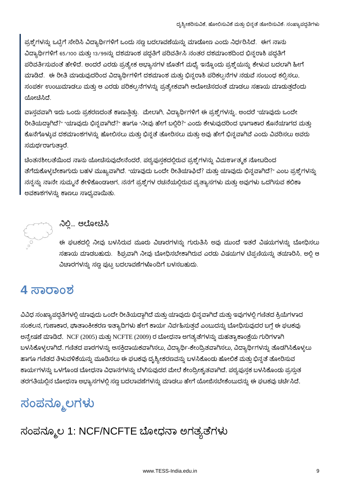ಪ್ರಶ್ನೆಗಳನ್ನು ಒಟ್ಟಿಗೆ ಸೇರಿಸಿ ವಿದ್ಯಾರ್ಥಿಗಳಿಗೆ ಒಂದು ಸಣ್ಣ ಬದಲಾವಣೆಯನ್ನು ಮಾಡೋಣ ಎಂದು ನಿರ್ಧರಿಸಿದೆ. ಈಗ ನಾನು ವಿದ್ಯಾರ್ಥಿಗಳಿಗೆ 65/100 ಮತ್ತು 13/99ನ್ನು ದಶಮಾಂಶ ಪದ್ಧತಿಗೆ ಪರಿವರ್ತಿಸಿ ನಂತರ ದಶಮಾಂಶದಿಂದ ಭಿನ್ನರಾಶಿ ಪದ್ಧತಿಗೆ ್ದರಿವರ್ತಿಸುವಂತೆ ಹೇಳಿದೆ. ಅಂದರೆ ಎರಡು ಪ್ರತ್ಯೇಕ ಅಭ್ಯಾಸಗಳ ಜೊತೆಗೆ ಮಧ್ಯೆ ಇನ್ನೊಂದು ಪ್ರಶ್ನೆಯನ್ನು ಕೇಳುವ ಬದಲಾಗಿ ಹೀಗೆ ಮಾಡಿದೆ. ಈ ರೀತಿ ಮಾಡುವುದರಿಂದ ವಿದ್ಯಾರ್ಥಿಗಳಿಗೆ ದಶಮಾಂಶ ಮತ್ತು ಭಿನ್ನರಾಶಿ ಪರಿಕಲ್ಪನೆಗಳ ನಡುವೆ ಸಂಬಂಧ ಕಲ್ಪಿಸಲು, ಸಂಪರ್ಕ ಉಂಟುಮಾಡಲು ಮತ್ತು ಆ ಎರಡು ಪರಿಕಲ್ಪನೆಗಳನ್ನು ಪ್ರತ್ಯೇಕವಾಗಿ ಆಲೋಚಿಸದಂತೆ ಮಾಡಲು ಸಹಾಯ ಮಾಡುತ್ತದೆಂದು ಯೋಚಿಸಿದೆ.

ವಾಸ್ತವವಾಗಿ ಇದು ಒಂದು ಪ್ರಕರಣದಂತೆ ಕಾಣುತ್ತಿತ್ತು. ಮೇಲಾಗಿ, ವಿದ್ಯಾರ್ಥಿಗಳಿಗೆ ಈ ಪ್ರಶ್ನೆಗಳನ್ನು, ಅಂದರೆ "ಯಾವುದು ಒಂದೇ ರೀತಿಯದ್ದಾಗಿದೆ?" "ಯಾವುದು ಭಿನ್ನವಾಗಿದೆ?" ಹಾಗೂ "ನೀವು ಹೇಗೆ ಬಲ್ಲಿರಿ?" ಎಂದು ಕೇಳುವುದರಿಂದ ಭಾಗಾಕಾರ ಕೊನೆಯಾಗದ ಮತ್ತು ಕೊನೆಗೊಳ್ಳುವ ದಶಮಾಂಶಗಳನ್ನು ಹೋಲಿಸಲು ಮತ್ತು ಭಿನ್ನತೆ ತೋರಿಸಲು ಮತ್ತು ಅವು ಹೇಗೆ ಭಿನ್ನವಾಗಿವೆ ಎಂದು ವಿವರಿಸಲು ಅವರು ಸಮರ್ಥರಾಗುತ್ತಾರೆ.

ಚಿಂತನಶೀಲತೆಯಿಂದ ನಾನು ಯೋಚಿಸುವುದೇನೆಂದರೆ, ಪಠ್ಯಪುಸ್ತಕದಲ್ಲಿರುವ ಪ್ರಶ್ನೆಗಳನ್ನು ವಿಮರ್ಶಾತ್ಮಕ ನೋಟದಿಂದ ತೆಗೆದುಕೊಳ್ಳಬೇಕಾಗುದು ಬಹಳ ಮುಖ್ಯವಾಗಿದೆ. "ಯಾವುದು ಒಂದೇ ರೀತಿಯಾಘಿದೆ? ಮತ್ತು ಯಾವುದು ಭಿನ್ನವಾಗಿದೆ?" ಎಂಬ ಪ್ರಶ್ನೆಗಳನ್ನು ನನ್ನನ್ನು ನಾನೇ ಸುಮ್ಮನೆ ಕೇಳಿಕೊಂಡಾಆಗ, ನನಗೆ ಪ್ರಶ್ನೆಗಳ ರಚನೆಯಲ್ಲಿರುವ ವ್ಯತ್ಯಾಸಗಳು ಮತ್ತು ಅವುಗಳು ಒದಗಿಸುವ ಕಲಿಕಾ ಅವಕಾಶಗಳನ್ನು ಕಾಣಲು ಸಾಧ್ಯವಾಯಿತು.



### ನಿಲ್ಲಿ... ಆಲೋಚಿಸಿ

ಈ ಘಟಕದಲ್ಲಿ ನೀವು ಬಳಸಿರುವ ಮೂರು ವಿಚಾರಗಳನ್ನು ಗುರುತಿಸಿ ಅವು ಮುಂದೆ ಇತರೆ ವಿಷಯಗಳನ್ನು ಬೋಧಿಸಲು ಸಹಾಯ ಮಾಡಬಹುದು. ಶಿಘ್ರವಾಗಿ ನೀವು ಬೋಧಿಸಬೇಕಾಗಿರುವ ಎರಡು ವಿಷಯಗಳ ಟಿಪ್ಪಣಿಯನ್ನು ತಯಾರಿಸಿ, ಅಲ್ಲಿ ಆ ವಿಚಾರಗಳನ್ನು ಸಣ್ಣ ಪುಟ್ಟ ಬದಲಾವಣೆಗಳೊಂದಿಗೆ ಬಳಸಬಹುದು.

## 4 ಸಾರಾಂಶ

ವಿವಿಧ ಸಂಖ್ಯಾಪದ್ಧತಿಗಳಲ್ಲಿ ಯಾವುದು ಒಂದೇ ರೀತಿಯದ್ದಾಗಿದೆ ಮತ್ತು ಯಾವುದು ಭಿನ್ನವಾಗಿದೆ ಮತ್ತು ಇವುಗಳಲ್ಲಿ ಗಣಿತದ ಕ್ರಿಯೆಗಳಾದ ಸಂಕಲನ, ಗುಣಾಕಾರ, ಘಾತಾಂಕೀಕರಣ ಇತ್ಯಾದಿಗಳು ಹೇಗೆ ಕಾರ್ಯ ನಿರ್ವಹಿಸುತ್ತವೆ ಎಂಬುದನ್ನು ಬೋಧಿಸುವುದರ ಬಗ್ಗೆ ಈ ಘಟಕವು ಅನ್ವೇಷಣೆ ಮಾಡಿದೆ. NCF (2005) ಮತ್ತು NCFTE (2009) ರ ಬೋಧನಾ ಅಗತ್ಯತೆಗಳನ್ನು ಮಹತ್ವಾಕಾಂಕ್ಷೆಯ ಗುರಿಗಳಾಗಿ ಬಳಸಿಕೊಳ್ಳಲಾಗಿದೆ. ಗಣಿತದ ಪಾಠಗಳನ್ನು ಆಸಕ್ತಿದಾಯಕವಾಗಿಸಲು, ವಿದ್ಯಾರ್ಥಿ-ಕೇಂದ್ರಿತವಾಗಿಸಲು, ವಿದ್ಯಾರ್ಥಿಗಳನ್ನು ತೊಡಗಿಸಿಕೊಳ್ಳಲು ಹಾಗೂ ಗಣಿತದ ತಿಳುವಳಿಕೆಯನ್ನು ಮೂಡಿಸಲು ಈ ಘಟಕವು ದೃಶ್ಯೀಕರಣವನ್ನು ಬಳಸಿಕೊಂಡು ಹೋಲಿಕೆ ಮತ್ತು ಭಿನ್ನತೆ ತೋರಿಸುವ ಕಾರ್ಯಗಳನ್ನು ಒಳಗೊಂಡ ಬೋಧನಾ ವಿಧಾನಗಳನ್ನು ಬೆಳೆಸುವುದರ ಮೇಲೆ ಕೇಂದ್ರೀಕೃತವಾಗಿದೆ. ಪಠ್ಯಪುಸ್ತಕ ಬಳಸಿಕೊಂಡು ಪ್ರಸ್ತುತ ತರಗತಿಯಲ್ಲಿನ ಬೋಧನಾ ಅಭ್ಯಾಸಗಳಲ್ಲಿ ಸಣ್ಣ ಬದಲಾವಣೆಗಳನ್ನು ಮಾಡಲು ಹೇಗೆ ಯೋಜಿಸಬೇಕೆಂಬುದನ್ನು ಈ ಘಟಕವು ಚರ್ಚಿಸಿದೆ.

## ಸಂಪನ್ಮೂಲಗಳು

## ಸಂಪನ್ಮೂಲ 1: NCF/NCFTE ಬೋಧನಾ ಅಗತ್ಯತೆಗಳು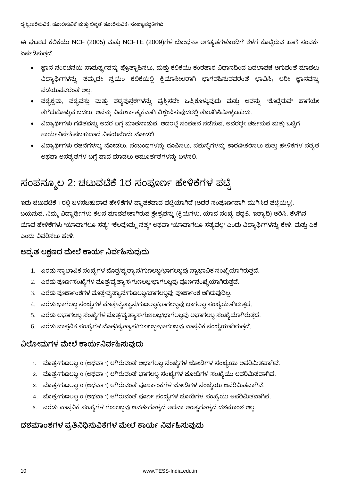ಈ ಘಟಕದ ಕಲಿಕೆಯು NCF (2005) ಮತ್ತು NCFTE (2009)ಗಳ ಬೋಧನಾ ಅಗತ್ಯತೆಗಳೊಂದಿಗೆ ಕೆಳಗೆ ಕೊಟ್ಟಿರುವ ಹಾಗೆ ಸಂಪರ್ಕ ಏರ್ಪಡಿಸುತ್ತದೆ.

- ಜ್ಞಾನ ಸಂರಚನೆಯ ಸಾಮರ್ಥ್ಯವನ್ನು ಪ್ರೊತ್ಸಾಹಿಸಲು, ಮತ್ತು ಕಲಿಕೆಯು ಕಂಠಪಾಠ ವಿಧಾನದಿಂದ ಬದಲಾವಣೆ ಆಗುವಂತೆ ಮಾಡಲು ವಿದ್ಯಾರ್ಥಿಗಳನ್ನು ತಮ್ಮದೇ ಸ್ವಯಂ ಕಲಿಕೆಯಲ್ಲಿ ಕ್ರಿಯಾಶೀಲರಾಗಿ ಭಾಗವಹಿಸುವವರಂತೆ ಭಾವಿಸಿ, ಬರೀ ಜ್ಞಾನವನ್ನು ಪಡೆಯುವವರಂತೆ ಅಲ್ಲ.
- ಪಠ್ಯಕ್ರಮ, ಪಠ್ಯವಸ್ತು ಮತ್ತು ಪಠ್ಯಪುಸ್ತಕಗಳನ್ನು ಪ್ರಶ್ನಿಸದೇ ಒಪ್ಪಿಕೊಳ್ಳುವುದು ಮತ್ತು ಅವನ್ನು "ಕೊಟ್ರಿರುವ" ಹಾಗೆಯೇ ತೆಗೆದುಕೊಳ್ಳುವ ಬದಲು, ಅವನ್ನು ವಿಮರ್ಶಾತ್ಮಕವಾಗಿ ವಿಶ್ಲೇಷಿಸುವುದರಲ್ಲಿ ತೊಡಗಿಸಿಕೊಳ್ಳಬಹುದು.
- ವಿದ್ಯಾರ್ಥಿಗಳು ಗಣಿತವನ್ನು ಅದರ ಬಗ್ಗೆ ಮಾತನಾಡುವ, ಅದರಲ್ಲೆ ಸಂವಹನ ನಡೆಸುವ, ಅವರಲ್ಲೇ ಚರ್ಚಿಸುವ ಮತ್ತು ಒಟ್ಟಿಗೆ ಕಾರ್ಯನಿರ್ವಹಿಸಬಹುದಾದ ವಿಷಯವೆಂದು ನೋಡಲಿ.
- ್ಷವಿದ್ಯಾರ್ಥಿಗಳು ರಚನೆಗಳನ್ನು ನೋಡಲು, ಸಂಬಂಧಗಳನ್ನು ರೂಪಿಸಲು, ಸಮಸ್ಯೆಗಳನ್ನು ಕಾರಣೀಕರಿಸಲು ಮತ್ತು ಹೇಳಿಕೆಗಳ ಸತ್ಯತೆ ಅಥವಾ ಅಸತ್ಯತೆಗಳ ಬಗ್ಗೆ ವಾದ ಮಾಡಲು ಅಮೂರ್ತತೆಗಳನ್ನು ಬಳಸಲಿ.

### ಸಂಪನ್ಮೂಲ 2: ಚಟುವಟಿಕೆ 1ರ ಸಂಪೂರ್ಣ ಹೇಳಿಕೆಗಳ ಪಟ್ಟಿ

ಇದು ಚಟುವಟಿಕೆ 1 ರಲ್ಲಿ ಬಳಸಬಹುದಾದ ಹೇಳಿಕೆಗಳ ವ್ಯಾಪಕವಾದ ಪಟ್ಟಿಯಾಗಿದೆ (ಆದರೆ ಸಂಪೂರ್ಣವಾಗಿ ಮುಗಿಸಿದ ಪಟ್ಟಿಯಲ್ಲ). ಬಯಸುವ, ನಿಮ್ಮ ವಿದ್ಯಾರ್ಥಿಗಳು ಕೆಲಸ ಮಾಡಬೇಕಾಗಿರುವ ಕ್ಷೇತ್ರವನ್ನು (ಕ್ರಿಯೆಗಳು, ಯಾವ ಸಂಖ್ಯೆ ಪದ್ಧತಿ, ಇತ್ಯಾದಿ) ಆರಿಸಿ. ಕೆಳಗಿನ ಯಾವ ಹೇಳಿಕೆಗಳು "ಯಾವಾಗಲೂ ಸತ್ಯ" "ಕೆಲವೊಮ್ಮೆ ಸತ್ಯ" ಅಥವಾ "ಯಾವಾಗಲೂ ಸತ್ಯವಲ್ಲ" ಎಂದು ವಿದ್ಯಾರ್ಥಿಗಳನ್ನು ಕೇಳಿ. ಮತ್ತು ಏಕೆ ಎಂದು ವಿವರಿಸಲು ಹೇಳಿ.

#### ಆವ್ಸತ ಲಕ್ಷಣದ ಮೇಲೆ ಕಾರ್ಯ ನಿರ್ವಹಿಸುವುದು

- 1. ಎರಡು ಸ್ವಾಭಾವಿಕ ಸಂಖ್ಯೆಗಳ ಮೊತ್ತ/ವ್ಯತ್ಯಾಸ/ಗುಣಲಬ್ದ/ಭಾಗಲಬ್ಧವು ಸ್ವಾಭಾವಿಕ ಸಂಖ್ಯೆಯಾಗಿರುತ್ತದೆ.
- 2. ಎರಡು ಪೂರ್ಣಸಂಖ್ಯೆಗಳ ಮೊತ್ತ/ವ್ಯತ್ಯಾಸ/ಗುಣಲಬ್ದ/ಭಾಗಲಬ್ಧವು ಪೂರ್ಣಸಂಖ್ಯೆಯಾಗಿರುತ್ತದೆ.
- 3. ಎರಡು ಪೂರ್ಣಾಂಕಗಳ ಮೊತ್ತ/ವ್ಯತ್ಯಾಸ/ಗುಣಲಬ್ದ/ಭಾಗಲಬ್ದವು ಪೂರ್ಣಾಂಕ ಆಗಿರುವುದಿಲ್ಲ.
- 4. ಎರಡು ಭಾಗಲಬ್ದ ಸಂಖ್ಯೆಗಳ ಮೊತ್ತ/ವ್ಯತ್ಯಾಸ/ಗುಣಲಬ್ದ/ಭಾಗಲಬ್ದವು ಭಾಗಲಬ್ದ ಸಂಖ್ಯೆಯಾಗಿರುತ್ತದೆ.
- 5. ಎರಡು ಅಭಾಗಲಬ್ಧ ಸಂಖ್ಯೆಗಳ ಮೊತ್ತ/ವ್ಯತ್ಯಾಸ/ಗುಣಲಬ್ಧ/ಭಾಗಲಬ್ಧವು ಅಭಾಗಲಬ್ಧ ಸಂಖ್ಯೆಯಾಗಿರುತ್ತದೆ.
- 6. ಎರಡು ವಾಸ್ತವಿಕ ಸಂಖ್ಯೆಗಳ ಮೊತ್ತ/ವ್ಯತ್ಯಾಸ/ಗುಣಲಬ್ದ/ಭಾಗಲಬ್ದವು ವಾಸ್ತವಿಕ ಸಂಖ್ಯೆಯಾಗಿರುತ್ತದೆ.

#### ವಿಲೋಮಗಳ ಮೇಲೆ ಕಾರ್ಯನಿರ್ವಹಿಸುವುದು

- 1. ಮೊತ್ತ/ಗುಣಲಬ್ದ o (ಅಥವಾ 1) ಆಗಿರುವಂತೆ ಅಭಾಗಲಬ್ದ ಸಂಖ್ಯೆಗಳ ಜೋಡಿಗಳ ಸಂಖ್ಯೆಯು ಅಪರಿಮಿತವಾಗಿವೆ.
- 2. ಮೊತ್ರ/ಗುಣಲಬ್ದ 0 (ಅಥವಾ 1) ಆಗಿರುವಂತೆ ಭಾಗಲಬ್ದ ಸಂಖ್ಯೆಗಳ ಜೋಡಿಗಳ ಸಂಖ್ಯೆಯು ಅಪರಿಮಿತವಾಗಿವೆ.
- 3. ಮೊತ್ರ/ಗುಣಲಬ್ದ o (ಅಥವಾ 1) ಆಗಿರುವಂತೆ ಪೂರ್ಣಾಂಕಗಳ ಜೋಡಿಗಳ ಸಂಖ್ಯೆಯು ಅಪರಿಮಿತವಾಗಿವೆ.
- 4. ಮೊತ್ತ/ಗುಣಲಬ್ದ o (ಅಥವಾ 1) ಆಗಿರುವಂತೆ ಪೂರ್ಣ ಸಂಖ್ಯೆಗಳ ಜೋಡಿಗಳ ಸಂಖ್ಯೆಯು ಅಪರಿಮಿತವಾಗಿವೆ.
- 5. ಎರಡು ವಾಸ್ತವಿಕ ಸಂಖ್ಯೆಗಳ ಗುಣಲಬ್ದವು ಆವರ್ತಗೊಳ್ಳದ ಅಥವಾ ಅಂತ್ಯಗೊಳ್ಳದ ದಶಮಾಂಶ ಅಲ್ಲ.

#### ದಶಮಾಂಶಗಳ ಪ್ರತಿನಿಧಿಸುವಿಕೆಗಳ ಮೇಲೆ ಕಾರ್ಯ ನಿರ್ವಹಿಸುವುದು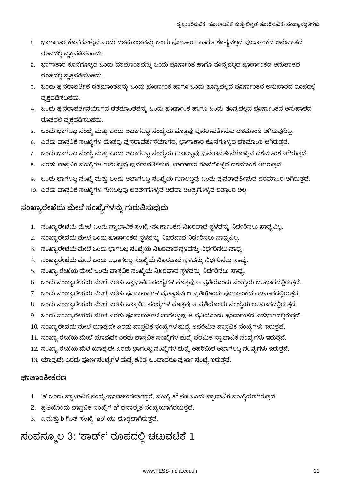- 1. ಭಾಗಾಕಾರ ಕೊನೆಗೊಳ್ಳುವ ಒಂದು ದಶಮಾಂಶವನ್ನು ಒಂದು ಪೂರ್ಣಾಂಕ ಹಾಗೂ ಶೂನ್ಯವಲ್ಲದ ಪೂರ್ಣಾಂಕದ ಅನುಪಾತದ ರೂಪದಲ್ಲಿ ವ್ಯಕ್ತಪಡಿಸಬಹದು.
- 2. ಭಾಗಾಕಾರ ಕೊನೆಗೊಳ್ಳದ ಒಂದು ದಶಮಾಂಶವನ್ನು ಒಂದು ಪೂರ್ಣಾಂಕ ಹಾಗೂ ಶೂನ್ಯವಲ್ಲದ ಪೂರ್ಣಾಂಕದ ಅನುಪಾತದ ರೂಪದಲ್ಲಿ ವ್ಯಕ್ತಪಡಿಸಬಹದು.
- 3. ಒಂದು ಪುನರಾವರ್ತಿತ ದಶಮಾಂಶವನ್ನು ಒಂದು ಪೂರ್ಣಾಂಕ ಹಾಗೂ ಒಂದು ಶೂನ್ಯವಲ್ಲದ ಪೂರ್ಣಾಂಕದ ಅನುಪಾತದ ರೂಪದಲ್ಲಿ ವ್ಯಕ್ತಪಡಿಸಬಹದು.
- 4. ಒಂದು ಪುನರಾವರ್ತನೆಯಾಗದ ದಶಮಾಂಶವನ್ನು ಒಂದು ಪೂರ್ಣಾಂಕ ಹಾಗೂ ಒಂದು ಶೂನ್ಯವಲ್ಲದ ಪೂರ್ಣಾಂಕದ ಅನುಪಾತದ ರೂಪದಲ್ಲಿ ವ್ಯಕ್ತಪಡಿಸಬಹದು.
- 5. ಒಂದು ಭಾಗಲಬ್ದ ಸಂಖ್ಯೆ ಮತ್ತು ಒಂದು ಅಭಾಗಲಬ್ದ ಸಂಖ್ಯೆಯ ಮೊತ್ತವು ಪುನರಾವರ್ತಿಸುವ ದಶಮಾಂಶ ಆಗಿರುವುದಿಲ್ಲ.
- 6. ಎರಡು ವಾಸ್ತವಿಕ ಸಂಖ್ಯೆಗಳ ಮೊತ್ತವು ಪುನರಾವರ್ತನೆಯಾಗದ, ಭಾಗಾಕಾರ ಕೊನೆಗೊಳ್ಳದ ದಶಮಾಂಶ ಆಗಿರುತ್ತದೆ.
- 7. ಒಂದು ಭಾಗಲಬ್ಧ ಸಂಖ್ಯೆ ಮತ್ತು ಒಂದು ಅಭಾಗಲಬ್ಧ ಸಂಖ್ಯೆಯ ಗುಣಲಬ್ಧವು ಪುನರಾವರ್ತನೆಗೊಳ್ಳುವ ದಶಮಾಂಶ ಆಗಿರುತ್ತದೆ.
- 8. ಎರಡು ವಾಸ್ತವಿಕ ಸಂಖ್ಯೆಗಳ ಗುಣಲಬ್ದವು ಪುನರಾವರ್ತಿಸುವ, ಭಾಗಾಕಾರ ಕೊನೆಗೊಳ್ಳದ ದಶಮಾಂಶ ಆಗಿರುತ್ತದೆ.
- 9. ಒಂದು ಭಾಗಲಬ್ದ ಸಂಖ್ಯೆ ಮತ್ತು ಒಂದು ಅಭಾಗಲಬ್ದ ಸಂಖ್ಯೆಯ ಗುಣಲಬ್ದವು ಒಂದು ಪುನರಾವರ್ತಿಸುವ ದಶಮಾಂಶ ಆಗಿರುತ್ತದೆ.
- 10. ಎರಡು ವಾಸ್ತವಿಕ ಸಂಖ್ಯೆಗಳ ಗುಣಲಬ್ದವು ಅವರ್ತಗೊಳ್ಳದ ಅಥವಾ ಅಂತ್ಯಗೊಳ್ಳದ ದತ್ತಾಂಶ ಅಲ್ಲ.

### ಸಂಖ್ಯಾರೇಖೆಯ ಮೇಲೆ ಸಂಖ್ಯೆಗಳನ್ನು ಗುರುತಿಸುವುದು

- 1. ಸಂಖ್ಯಾರೇಖೆಯ ಮೇಲೆ ಒಂದು ಸ್ವಾಭಾವಿಕ ಸಂಖ್ಯೆ⁄ ಪೂರ್ಣಾಂಕದ ನಿಖರವಾದ ಸ್ಥಳವನ್ನು ನಿರ್ಧರಿಸಲು ಸಾಧ್ಯವಿಲ್ಲ.
- 2. ಸಂಖ್ಯಾರೇಖೆಯ ಮೇಲೆ ಒಂದು ಪೂರ್ಣಾಂಕದ ಸ್ಥಳವನ್ನು ನಿಖರವಾದ ನಿರ್ಧರಿಸಲು ಸಾಧ್ಯವಿಲ್ಲ.
- 3. ಸಂಖ್ಯಾರೇಖೆಯ ಮೇಲೆ ಒಂದು ಭಾಗಲಬ್ದ ಸಂಖ್ಯೆಯ ನಿಖರವಾದ ಸ್ಥಳವನ್ನು ನಿರ್ಧರಿಸಲು ಸಾಧ್ಯ.
- 4. ಸಂಖ್ಯಾರೇಖೆಯ ಮೇಲೆ ಒಂದು ಅಭಾಗಲಬ್ದ ಸಂಖ್ಯೆಯ ನಿಖರವಾದ ಸ್ಥಳವನ್ನು ನಿರ್ಧರಿಸಲು ಸಾಧ್ಯ.
- 5. ಸಂಖ್ಯಾ ರೇಖೆಯ ಮೇಲೆ ಒಂದು ವಾಸ್ತವಿಕ ಸಂಖ್ಯೆಯ ನಿಖರವಾದ ಸ್ಥಳವನ್ನು ನಿರ್ಧರಿಸಲು ಸಾಧ್ಯ.
- 6. ಒಂದು ಸಂಖ್ಯಾರೇಖೆಯ ಮೇಲೆ ಎರಡು ಸ್ವಾಭಾವಿಕ ಸಂಖ್ಯೆಗಳ ಮೊತ್ತವು ಆ ಪ್ರತಿಯೊಂದು ಸಂಖ್ಯೆಯ ಬಲಭಾಗದಲ್ಲಿರುತ್ತದೆ.
- 7. ಒಂದು ಸಂಖ್ಯಾರೇಖೆಯ ಮೇಲೆ ಎರಡು ಪೂರ್ಣಾಂಕಗಳ ವ್ಯತ್ಯಾಶವು ಆ ಪ್ರತಿಯೊಂದು ಪೂರ್ಣಾಂಕದ ಎಡಭಾಗದಲ್ಲಿರುತ್ತದೆ.
- 8. ಒಂದು ಸಂಖ್ಯಾರೇಖೆಯ ಮೇಲೆ ಎರಡು ವಾಸ್ತವಿಕ ಸಂಖ್ಯೆಗಳ ಮೊತ್ತವು ಆ ಪ್ರತಿಯೊಂದು ಸಂಖ್ಯೆಯ ಬಲಭಾಗದಲ್ಲಿರುತ್ತದೆ.
- 9. ಒಂದು ಸಂಖ್ಯಾರೇಖೆಯ ಮೇಲೆ ಎರಡು ಪೂರ್ಣಾಂಕಗಳ ಭಾಗಲಬ್ದವು ಆ ಪ್ರತಿಯೊಂದು ಪೂರ್ಣಾಂಕದ ಎಡಭಾಗದಲ್ಲಿರುತ್ತದೆ.
- 10. ಸಂಖ್ಯಾರೇಖೆಯ ಮೇಲೆ ಯಾವುದೇ ಎರಡು ವಾಸ್ತವಿಕ ಸಂಖ್ಯೆಗಳ ಮಧ್ಯೆ ಅಪರಿಮಿತ ವಾಸ್ತವಿಕ ಸಂಖ್ಯೆಗಳು ಇರುತ್ತವೆ.
- 11. ಸಂಖ್ಯಾ ರೇಖೆಯ ಮೇಲೆ ಯಾವುದೇ ಎರಡು ವಾಸ್ತವಿಕ ಸಂಖ್ಯೆಗಳ ಮಧ್ಯೆ ಪರಿಮಿತ ಸ್ವಾಭಾವಿಕ ಸಂಖ್ಯೆಗಳು ಇರುತ್ತವೆ.
- 12. ಸಂಖ್ಯಾ ರೇಖೆಯ ಮೆಲೆ ಯಾವುದೇ ಎರಡು ಭಾಗಲಬ್ದ ಸಂಖ್ಯೆಗಳ ಮಧ್ಯೆ ಅಪರಿಮಿತ ಅಭಾಗಲಬ್ದ ಸಂಖ್ಯೆಗಳು ಇರುತ್ತವೆ.
- 13. ಯಾವುದೇ ಎರಡು ಪೂರ್ಣಸಂಖ್ಯೆಗಳ ಮಧ್ಯೆ ಕನಿಷ್ಟ ಒಂದಾದರೂ ಪೂರ್ಣ ಸಂಖ್ಯೆ ಇರುತ್ತದೆ.

#### *ಪಾ*ತಾಂಕೀಕರಣ

- 1. 'a' ಒಂದು ಸ್ವಾಭಾವಿಕ ಸಂಖ್ಯೆ⁄ಪೂರ್ಣಾಂಕವಾಗಿದ್ದರೆ, ಸಂಖ್ಯೆ a<sup>2</sup> ಸಹ ಒಂದು ಸ್ವಾಭಾವಿಕ ಸಂಖ್ಯೆಯಾಗಿರುತ್ತದೆ.
- 2. ಪ್ರತಿಯೊಂದು ವಾಸ್ತವಿಕ ಸಂಖ್ಯೆಗೆ  ${\sf a}^2$  ಧನಾತ್ಮಕ ಸಂಖ್ಯೆಯಾಗಿರಯತ್ತದೆ.
- 3. a ಮತ್ತು b ಗಿಂತ ಸಂಖ್ಯೆ 'ab' ಯು ದೊಡ್ಡದಾಗಿರುತ್ತದೆ.

### ಸಂಪನ್ಮೂಲ 3: 'ಕಾರ್ಡ್' ರೂಪದಲ್ಲಿ ಚಟುವಟಿಕೆ 1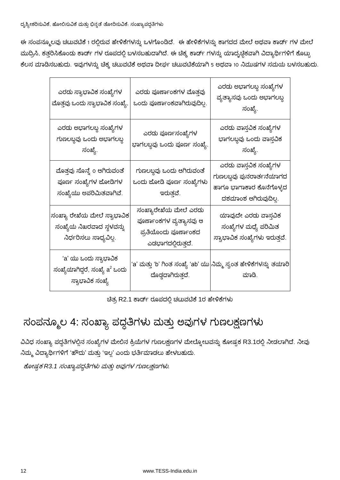ಈ ಸಂಪನ್ಮೂಲವು ಚಟುವಟಿಕೆ 1 ರಲ್ಲಿರುವ ಹೇಳಿಕೆಗಳನ್ನು ಒಳಗೊಂಡಿದೆ. ಈ ಹೇಳಿಕೆಗಳನ್ನು ಕಾಗದದ ಮೇಲೆ ಅಥವಾ ಕಾರ್ಡ್ ಗಳ ಮೇಲೆ ಮುದ್ರಿಸಿ, ಕತ್ತರಿಸಿಕೊಂಡು ಕಾರ್ಡ್ ಗಳ ರೂಪದಲ್ಲಿ ಬಳಸಬಹುದಾಗಿದೆ. ಈ ಚಿಕ್ಕ ಕಾರ್ಡ್ ಗಳನ್ನು ಯಾದೃಚ್ಛಿಕವಾಗಿ ವಿದ್ಯಾರ್ಥಿಗಳಿಗೆ ಕೊಟ್ಟು ಕೆಲಸ ಮಾಡಿಸಬಹುದು. ಇವುಗಳನ್ನು ಚಿಕ್ಕ ಚಟುವಟಿಕೆ ಅಥವಾ ದೀರ್ಘ ಚಟುವಟಿಕೆಯಾಗಿ 5 ಅಥವಾ 10 ನಿಮುಷಗಳ ಸಮಯ ಬಳಸಬಹುದು.

| ಎರಡು ಸ್ವಾಭಾವಿಕ ಸಂಖ್ಯೆಗಳ<br>ಮೊತ್ತವು ಒಂದು ಸ್ವಾಭಾವಿಕ ಸಂಖ್ಯೆ.                                | ಎರದು ಪೂರ್ಣಾಂಕಗಳ ಮೊತ್ತವು<br>ಒಂದು ಪೂರ್ಣಾಂಕವಾಗಿರುವುದಿಲ್ಲ.                                         | ಎರಡು ಅಭಾಗಲಬ್ಧ ಸಂಖ್ಯೆಗಳ<br>ವ್ಯತ್ಯಾಸವು ಒಂದು ಅಭಾಗಲಬ್ಧ<br>ಸಂಖ್ಯೆ.                                         |
|------------------------------------------------------------------------------------------|------------------------------------------------------------------------------------------------|-------------------------------------------------------------------------------------------------------|
| ಎರಡು ಅಭಾಗಲಬ್ಧ ಸಂಖ್ಯೆಗಳ<br>ಗುಣಲಬ್ಧವು ಒಂದು ಅಭಾಗಲಬ್ಧ<br>ಸಂಖ್ಯೆ.                             | ಎರಡು ಪೂರ್ಣಸಂಖ್ಯೆಗಳ<br>ಭಾಗಲಬ್ಧವು ಒಂದು ಪೂರ್ಣ ಸಂಖ್ಯೆ.                                             | ಎರಡು ವಾಸ್ತವಿಕ ಸಂಖ್ಯೆಗಳ<br>ಭಾಗಲಬ್ಧವು ಒಂದು ವಾಸ್ತವಿಕ<br>ಸಂಖ್ಯೆ.                                          |
| ಮೊತ್ತವು ಸೊನ್ನೆ o ಆಗಿರುವಂತೆ<br>ಪೂರ್ಣ ಸಂಖ್ಯೆಗಳ ಜೋಡಿಗಳ<br>ಸಂಖ್ಯೆಯು ಅಪರಿಮಿತವಾಗಿವೆ.           | ಗುಣಲಬ್ಧವು ಒಂದು ಆಗಿರುವಂತೆ<br>ಒಂದು ಜೋಡಿ ಪೂರ್ಣ ಸಂಖ್ಯೆಗಳು<br>ಇರುತ್ತವೆ.                             | ಎರಡು ವಾಸ್ತವಿಕ ಸಂಖ್ಯೆಗಳ<br>ಗುಣಲಬ್ಧವು ಪುನರಾರ್ತನೆಯಾಗದ<br>ಹಾಗೂ ಭಾಗಾಕಾರ ಕೊನೆಗೊಳ್ಳದ<br>ದಶಮಾಂಶ ಆಗಿರುವುದಿಲ್ಲ. |
| ಸಂಖ್ಯಾ ರೇಖೆಯ ಮೇಲೆ ಸ್ವಾಭಾವಿಕ<br>ಸಂಖ್ಯೆಯ ನಿಖರವಾದ ಸ್ಥಳವನ್ನು<br>ನಿರ್ಧರಿಸಲು ಸಾಧ್ಯವಿಲ್ಲ.       | ಸಂಖ್ಯಾರೇಖೆಯ ಮೇಲೆ ಎರಡು<br>ಪೂರ್ಣಾಂಕಗಳ ವ್ಯತ್ಯಾಸವು ಆ<br>ಪ್ರತಿಯೊಂದು ಪೂರ್ಣಾಂಕದ<br>ಎಡಭಾಗದಲ್ಲಿರುತ್ತದೆ. | ಯಾವುದೇ ಎರಡು ವಾಸ್ತವಿಕ<br>ಸಂಖ್ಯೆಗಳ ಮಧ್ಯೆ ಪರಿಮಿತ<br>ಸ್ವಾಭಾವಿಕ ಸಂಖ್ಯೆಗಳು ಇರುತ್ತವೆ.                        |
| 'a' ಯು ಒಂದು ಸ್ವಾಭಾವಿಕ<br>ಸಂಖ್ಯೆಯಾಗಿದ್ದರೆ, ಸಂಖ್ಯೆ a <sup>2</sup> ಒಂದು<br>ಸ್ವಾಭಾವಿಕ ಸಂಖ್ಯೆ | 'a' ಮತ್ತು 'b' ಗಿಂತ ಸಂಖ್ಯೆ 'ab' ಯು ನಿಮ್ಮ ಸ್ವಂತ ಹೇಳಿಕೆಗಳನ್ನು ತಯಾರಿ<br>ದೊಡ್ದದಾಗಿರುತ್ತದೆ.          | ಮಾಡಿ.                                                                                                 |

ಚಿತ್ರ R2.1 ಕಾರ್ಡ್ ರೂಪದಲ್ಲಿ ಚಟುವಟಿಕೆ 1ರ ಹೇಳಿಕೆಗಳು

## ಸಂಪನ್ಮೂಲ 4: ಸಂಖ್ಯಾ ಪದ್ಧತಿಗಳು ಮತ್ತು ಅವುಗಳ ಗುಣಲಕ್ಷಣಗಳು

ವಿವಿಧ ಸಂಖ್ಯಾ ಪದ್ಧತಿಗಳಲ್ಲಿನ ಸಂಖ್ಯೆಗಳ ಮೇಲಿನ ಕ್ರಿಯೆಗಳ ಗುಣಲಕ್ಷಣಗಳ ಮೇಲ್ನೋಟವನ್ನು ಕೋಷ್ಟಕ R3.1ರಲ್ಲಿ ನೀಡಲಾಗಿದೆ. ನೀವು ನಿಮ್ಮ ವಿದ್ಯಾರ್ಥಿಗಳಿಗೆ 'ಹೌದು' ಮತ್ತು 'ಇಲ್ಲ' ಎಂದು ಭರ್ತಿಮಾಡಲು ಹೇಳಬಹುದು.

ಕೋಷ್ಸಕ R3.1 ಸಂಖ್ಯಾಪಧ್ಧತಿಗಳು ಮತ್ತು ಅವುಗಳ ಗುಣಲಕ್ಷಣಗಳು.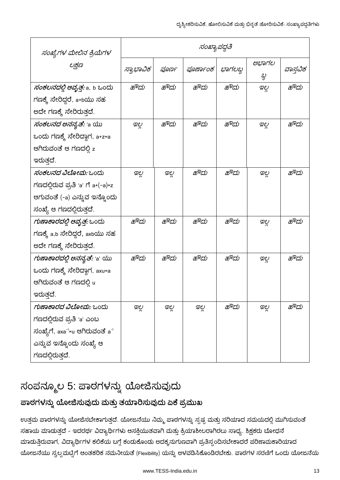| ಸಂಖ್ಯೆಗಳ ಮೇಲಿನ ಕ್ರಿಯೆಗಳ                                  | ಸಂಖ್ಯಾಪದ್ಧತಿ |       |          |        |              |          |
|----------------------------------------------------------|--------------|-------|----------|--------|--------------|----------|
| ಲಕ್ಷಣ                                                    | ಸ್ವಾಭಾವಿಕ    | ಪೂರ್ಣ | ರೂರ್ಣಾಂಕ | ಭಾಗಲಭ್ | ಅಭಾಗಲ<br>బ్ధ | ವಾಸ್ತವಿಕ |
| <i>ಸಂಕಲನದಲ್ಲಿ ಆವೃತ್ತ:</i> a, b ಒಂದು                      | ಹೌದು         | ಹೌದು  | ಹೌದು     | ಹೌದು   | ಇಲ್ಲ         | ಹೌದು     |
| ಗಣಕ್ಕೆ ಸೇರಿದ್ದರೆ, a+bಯು ಸಹ                               |              |       |          |        |              |          |
| ಅದೇ ಗಣಕ್ಕೆ ಸೇರಿರುತ್ತದೆ.                                  |              |       |          |        |              |          |
| <i>ಸಂಕಲನದ ಅನನ್ಯತೆ:</i> 'a ಯು                             | ಇಲ್ಲ         | ಹೌದು  | ಹೌದು     | ಹೌದು   | ಇಲ್ಲ         | ಹೌದು     |
| ಒಂದು ಗಣಕ್ಕೆ ಸೇರಿದ್ದಾಗ, a+z=a                             |              |       |          |        |              |          |
| ಆಗಿರುವಂತೆ ಆ ಗಣದಲ್ಲಿ z                                    |              |       |          |        |              |          |
| ಇರುತ್ತದೆ.                                                |              |       |          |        |              |          |
| <i>ಸಂಕಲನದ ವಿಲೋಮ:</i> ಒಂದು                                | ಇಲ್ಲ         | ಇಲ್ಲ  | ಹೌದು     | ಹೌದು   | ಇಲ್ಲ         | ಹೌದು     |
| ಗಣದಲ್ಲಿರುವ ಪ್ರತಿ 'a' ಗೆ a+(–a)=z                         |              |       |          |        |              |          |
| ಆಗುವಂತೆ (-a) ಎನ್ನುವ ಇನ್ನೊಂದು                             |              |       |          |        |              |          |
| ಸಂಖ್ಯೆ ಆ ಗಣದಲ್ಲಿರುತ್ತದೆ.                                 |              |       |          |        |              |          |
| <i>ಗುಣಾಕಾರದಲ್ಲಿ ಆವೃತ್ತ:</i> ಒಂದು                         | ಹೌದು         | ಹೌದು  | ಹೌದು     | ಹೌದು   | ಇಲ್ಲ         | ಹೌದು     |
| ಗಣಕ್ಕೆ a,b ಸೇರಿದ್ದರೆ, axbಯು ಸಹ                           |              |       |          |        |              |          |
| ಅದೇ ಗಣಕ್ಕೆ ಸೇರಿರುತ್ತದೆ.                                  |              |       |          |        |              |          |
| <i>ಗುಣಾಕಾರದಲ್ಲಿ ಅನನ್ಯತೆ:</i> 'a' ಯು                      | ಹೌದು         | ಹೌದು  | ಹೌದು     | ಹೌದು   | ಇಲ್ಲ         | ಹೌದು     |
| ಒಂದು ಗಣಕ್ಕೆ ಸೇರಿದ್ದಾಗ, axu=a                             |              |       |          |        |              |          |
| ಆಗಿರುವಂತೆ ಆ ಗಣದಲ್ಲಿ u                                    |              |       |          |        |              |          |
| ಇರುತ್ತದೆ.                                                |              |       |          |        |              |          |
| <i>ಗುಣಾಕಾರದ ವಿಲೋಮ:</i> ಒಂದು                              | ಇಲ್ಲ         | ಇಲ್ಲ  | ಇಲ್ಲ     | ಹೌದು   | ಇಲ್ಲ         | ಹೌದು     |
| ಗಣದಲ್ಲಿರುವ ಪ್ರತಿ 'a' ಎಂಬ                                 |              |       |          |        |              |          |
| ಸಂಖ್ಯೆಗೆ, axa <sup>-1</sup> =u ಆಗಿರುವಂತೆ a <sup>-1</sup> |              |       |          |        |              |          |
| ಎನ್ನುವ ಇನ್ನೊಂದು ಸಂಖ್ಯೆ ಆ                                 |              |       |          |        |              |          |
| ಗಣದಲ್ಲಿರುತ್ತದೆ.                                          |              |       |          |        |              |          |

## ಸಂಪನ್ಮೂಲ 5: ಪಾಠಗಳನ್ನು ಯೋಜಿಸುವುದು

### ಪಾಠಗಳನ್ನು ಯೋಜಿಸುವುದು ಮತ್ತು ತಯಾರಿಸುವುದು ಏಕೆ ಪ್ರಮುಖ

ಉತ್ತಮ ಪಾಠಗಳನ್ನು ಯೋಜಿಸಬೇಕಾಗುತ್ತದೆ. ಯೋಜನೆಯು ನಿಮ್ಮ ಪಾಠಗಳನ್ನು ಸ್ಪಷ್ಟ ಮತ್ತು ಸರಿಯಾದ ಸಮಯದಲ್ಲಿ ಮುಗಿಸುವಂತೆ ಸಹಾಯ ಮಾಡುತ್ತದೆ - ಇದರರ್ಥ ವಿದ್ಯಾರ್ಥಿಗಳು ಆಸಕ್ತಿಯುತವಾಗಿ ಮತ್ತು ಕ್ರಿಯಾಶೀಲರಾಗಿರಲು ಸಾಧ್ಯ. ಶಿಕ್ಷಕರು ಬೋಧನೆ ಮಾಡುತ್ತಿರುವಾಗ, ವಿದ್ಯಾರ್ಥಿಗಳ ಕಲಿಕೆಯ ಬಗ್ಗೆ ಕಂಡುಕೊಂಡು ಅದಕ್ಕನುಗುಣವಾಗಿ ಪ್ರತಿಸ್ಪಂದಿಸಬೇಕಾದರೆ ಪರಿಣಾಮಕಾರಿಯಾದ ಯೋಜನೆಯು ಸ್ವಲ್ಪಮಟ್ಟಿಗೆ ಆಂತಕರಿಕ ನಮನೀಯತೆ (Flexibility) ಯನ್ನು ಅಳವಡಿಸಿಕೊಂಡಿರಬೇಕು. ಪಾಠಗಳ ಸರಣಿಗೆ ಒಂದು ಯೋಜನೆಯ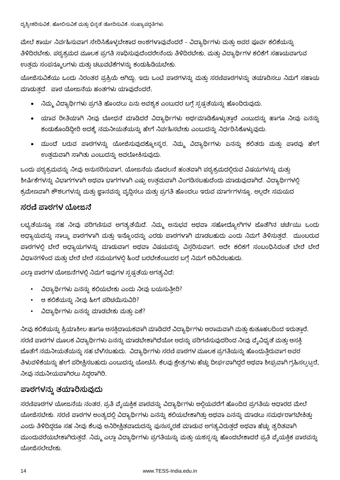ಮೇಲೆ ಕಾರ್ಯ ನಿರ್ವಹಿಸುವಾಗ ಸೇರಿಸಿಕೊಳ್ಳಬೇಕಾದ ಅಂಶಗಳಾವುವೆಂದರೆ - ವಿದ್ಯಾರ್ಥಿಗಳು ಮತ್ತು ಅವರ ಪೂರ್ವ ಕಲಿಕೆಯನ್ನು ತಿಳಿದಿರಬೇಕು, ಪಠ್ಯಕ್ರಮದ ಮೂಲಕ ಪ್ರಗತಿ ಸಾಧಿಸುವುದೆಂದರೇನೆಂದು ತಿಳಿದಿರಬೇಕು, ಮತ್ತು ವಿದ್ಯಾರ್ಥಿಗಳ ಕಲಿಕೆಗೆ ಸಹಾಯವಾಗುವ ಉತ್ತಮ ಸಂಪನ್ಮೂಲಗಳು ಮತ್ತು ಚಟುವಟಿಕೆಗಳನ್ನು ಕಂಡುಹಿಡಿಯಬೇಕು.

ಯೋಜಿಸುವಿಕೆಯು ಒಂದು ನಿರಂತರ ಪ್ರಕ್ರಿಯೆ ಆಗಿದ್ದು, ಇದು ಒಂಟಿ ಪಾಠಗಳನ್ನು ಮತ್ತು ಸರಣಿಪಾಠಗಳನ್ನು ತಯಾರಿಸಲು ನಿಮಗೆ ಸಹಾಯ ಮಾಡುತ್ತದೆ. ಪಾಠ ಯೋಜನೆಯ ಹಂತಗಳು ಯಾವುದೆಂದರೆ,

- ನಿಮ್ಮ ವಿದ್ಯಾರ್ಥಿಗಳು ಪ್ರಗತಿ ಹೊಂದಲು ಏನು ಅವಶ್ಯಕ ಎಂಬುದರ ಬಗ್ಗೆ ಸ್ಪಷ್ಟತೆಯನ್ನು ಹೊಂದಿರುವುದು.
- ಯಾವ ರೀತಿಯಾಗಿ ನೀವು ಬೋಧನೆ ಮಾಡಿದರೆ ವಿದ್ಯಾರ್ಥಿಗಳು ಅರ್ಥಮಾಡಿಕೊಳ್ಳುತ್ತಾರೆ ಎಂಬುದನ್ನು ಹಾಗೂ ನೀವು ಏನನ್ನು ಕಂಡುಕೊಂಡಿದ್ದೀರಿ ಅದಕ್ಕೆ ನಮನೀಯತೆಯನ್ನು ಹೇಗೆ ನಿರ್ವಹಿಸಬೇಕು ಎಂಬುದನ್ನು ನಿರ್ಧರಿಸಿಕೊಳ್ಳುವುದು.
- ್ಮುಂದೆ ಬರುವ ಪಾಠಗಳನ್ನು ಯೋಜಿಸುವುದಕ್ಕೋಸ್ಕರ, ನಿಮ್ಮ ವಿದ್ಯಾರ್ಥಿಗಳು ಏನನ್ನು ಕಲಿತರು ಮತ್ತು ಪಾಠವು ಹೇಗೆ ಉತ್ತಮವಾಗಿ ಸಾಗಿತು ಎಂಬುದನ್ನು ಅವಲೋಕಿಸುವುದು.

ಒಂದು ಪಠ್ಯಕ್ರಮವನ್ನು ನೀವು ಅನುಸರಿಸುವಾಗ, ಯೋಜನೆಯ ಮೊದಲನೆ ಹಂತವಾಗಿ ಪಠ್ಯಕ್ರಮದಲ್ಲಿರುವ ವಿಷಯಗಳನ್ನು ಮತ್ತು ಶೀರ್ಷಿಕೆಗಳನ್ನು ವಿಭಾಗಗಳಾಗಿ ಅಥವಾ ಭಾಗಗಳಾಗಿ ಎಷ್ಟು ಉತ್ತಮವಾಗಿ ವಿಂಗಡಿಸಬಹುದೆಂದು ಮಾಡುವುದಾಗಿದೆ. ವಿದ್ಯಾರ್ಥಿಗಳಲ್ಲಿ ಕ್ರಮೇಣವಾಗಿ ಕೌಶಲಗಳನ್ನು ಮತ್ತು ಜ್ಞಾನವನ್ನು ವೃದ್ಧಿಸಲು ಮತ್ತು ಪ್ರಗತಿ ಹೊಂದಲು ಇರುವ ಮಾರ್ಗಗಳನ್ನೂ, ಅಲ್ಲದೇ ಸಮಯದ

#### ಸರಣಿ ಪಾಠಗಳ ಯೋಜನೆ

ಲಭ್ಯತೆಯನ್ನೂ ಸಹ ನೀವು ಪರಿಗಣಿಸುವ ಅಗತ್ಯತೆಯಿದೆ. ನಿಮ್ಮ ಅನುಭವ ಅಥವಾ ಸಹೋದ್ಯೋಗಿಗಳ ಜೊತೆಗಿನ ಚರ್ಚೆಯು ಒಂದು ಅಧ್ಯಾಯವನ್ನು ನಾಲ್ಕು ಪಾಠಗಳಾಗಿ ಮತ್ತು ಇನ್ನೊಂದನ್ನು ಎರಡು ಪಾಠಗಳಾಗಿ ಮಾಡಬಹುದು ಎಂದು ನಿಮಗೆ ತಿಳಿಸುತ್ತದೆ. ಮುಂಬರುವ ಪಾಠಗಳಲ್ಲಿ ಬೇರೆ ಅಧ್ಯಾಯಗಳನ್ನು ಮಾಡುವಾಗ ಅಥವಾ ವಿಷಯವನ್ನು ವಿಸ್ತರಿಸುವಾಗ, ಅದೇ ಕಲಿಕಗೆ ಸಂಬಂಧಿಸಿದಂತೆ ಬೇರೆ ಬೇರೆ ವಿಧಾನಗಳಿಂದ ಮತ್ತು ಬೇರೆ ಬೇರೆ ಸಮಯಗಳಲ್ಲಿ ಹಿಂದೆ ಬರಬೇಕೆಂಬುದರ ಬಗ್ಗೆ ನಿಮಗೆ ಅರಿವಿರಬಹುದು.

ಎಲ್ಲಾ ಪಾಠಗಳ ಯೋಜನೆಗಳಲ್ಲಿ ನಿಮಗೆ ಇವುಗಳ ಸ್ಪಷ್ಟತೆಯ ಅಗತ್ಯವಿದೆ:

- ವಿದ್ಯಾರ್ಥಿಗಳು ಏನನ್ನು ಕಲಿಯಬೇಕು ಎಂದು ನೀವು ಬಯಸುತ್ತೀರಿ?
- ಆ ಕಲಿಕೆಯನ್ನು ನೀವು ಹೀಗೆ ಪರಿಚಯಿಸುವಿರಿ?
- ವಿದ್ಯಾರ್ಥಿಗಳು ಏನನ್ನು ಮಾಡಬೇಕು ಮತ್ತು ಏಕೆ?

ನೀವು ಕಲಿಕೆಯನ್ನು ಕ್ರಿಯಾಶೀಲ ಹಾಗೂ ಆಸಕ್ತಿದಾಯಕವಾಗಿ ಮಾಡಿದರೆ ವಿದ್ಯಾರ್ಥಿಗಳು ಆರಾಮವಾಗಿ ಮತ್ತು ಕುತೂಹಲದಿಂದ ಇರುತ್ತಾರೆ. ಸರಣಿ ಪಾಠಗಳ ಮೂಲಕ ವಿದ್ಯಾರ್ಥಿಗಳು ಏನನ್ನು ಮಾಡಬೇಕಾಗಿದೆಯೋ ಅದನ್ನು ಪರಿಗಣಿಸುವುದರಿಂದ ನೀವು ವೈವಿಧ್ಯತೆ ಮತ್ತು ಆಸಕ್ತಿ ಜೊತೆಗೆ ನಮನೀಯತೆಯನ್ನು ಸಹ ಬೆಳೆಸಬಹುದು. ವಿದ್ಯಾರ್ಥಿಗಳು ಸರಣಿ ಪಾಠಗಳ ಮೂಲಕ ಪ್ರಗತಿಯನ್ನು ಹೊಂದುತ್ತಿರುವಾಗ ಅವರ ತಿಳುವಳಿಕೆಯನ್ನು ಹೇಗೆ ಪರೀಕ್ಷಿಸಬಹುದು ಎಂಬುದನ್ನು ಯೋಚೆಸಿ. ಕೆಲವು ಕ್ಷೇತ್ರಗಳು ಹೆಚ್ಚು ದೀರ್ಘವಾಗಿದ್ದರೆ ಅಥವಾ ಶೀಘ್ರವಾಗಿ ಗ್ರಹಿಸಲ್ಪಟ್ಟರೆ, ನೀವು ನಮನೀಯವಾಗಿರಲು ಸಿದ್ದರಾಗಿರಿ.

#### ಪಾಠಗಳನ್ನು ತಯಾರಿಸುವುದು

ಸರಣಿಪಾಠಗಳ ಯೋಜನೆಯ ನಂತರ, ಪ್ರತಿ ವೈಯಕ್ತಿಕ ಪಾಠವನ್ನು ವಿದ್ಯಾರ್ಥಿಗಳು ಅಲ್ಲಿಯವರೆಗೆ ಹೊಂದಿದ ಪ್ರಗತಿಯ ಆಧಾರದ ಮೇಲೆ ಯೋಜಿಸಬೇಕು. ಸರಣಿ ಪಾಠಗಳ ಅಂತ್ಯದಲ್ಲಿ ವಿದ್ಯಾರ್ಥಿಗಳು ಏನನ್ನು ಕಲಿಯಬೇಕಾಗಿತ್ತು ಅಥವಾ ಏನನ್ನು ಮಾಡಲು ಸಮರ್ಥರಾಗಬೇಕಿತ್ತು ಎಂದು ತಿಳಿದಿದ್ದರೂ ಸಹ ನೀವು ಕೆಲವು ಅನಿರೀಕ್ಷಿತವಾದುದನ್ನು ಪುನಃಸ್ಮರಣೆ ಮಾಡುವ ಅಗತ್ಯವಿರುತ್ತದೆ ಅಥವಾ ಹೆಚ್ಚು ತ್ವರಿತವಾಗಿ ಮುಂದುವರೆಯಬೇಕಾಗಿರುತ್ತದೆ. ನಿಮ್ಮ ಎಲ್ಲಾ ವಿದ್ಯಾರ್ಥಿಗಳು ಪ್ರಗತಿಯನ್ನು ಮತ್ತು ಯಶಸ್ಸನ್ನು ಹೊಂದಬೇಕಾದರೆ ಪ್ರತಿ ವೈಯಕ್ತಿಕ ಪಾಠವನ್ನು ಯೋಜಿಸಲೇಬೇಕು.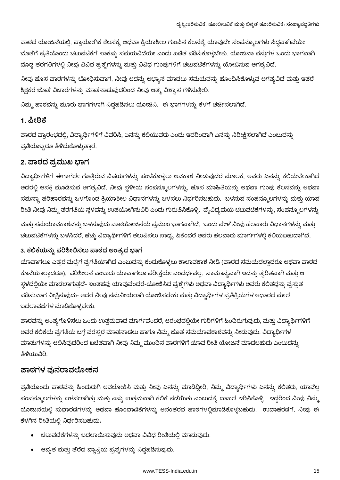ಪಾಠದ ಯೋಜನೆಯಲ್ಲಿ, ಪ್ರಾಯೋಗಿಕ ಕೆಲಸಕ್ಕೆ ಅಥವಾ ಕ್ರಿಯಾಶೀಲ ಗುಂಪಿನ ಕೆಲಸಕ್ಕೆ ಯಾವುದೇ ಸಂಪನ್ಮೂಲಗಳು ಸಿದ್ಧವಾಗಿವೆಯೇ ಜೊತೆಗೆ ಪ್ರತಿಯೊಂದು ಚಟುವಟಿಕೆಗೆ ಸಾಕಷ್ಟು ಸಮಯವಿದೆಯೇ ಎಂದು ಖಚಿತ ಪಡಿಸಿಕೊಳ್ಳಬೇಕು. ಯೋಜನಾ ವಸ್ತುಗಳ ಒಂದು ಭಾಗವಾಗಿ ದೊಡ್ಡ ತರಗತಿಗಳಲ್ಲಿ ನೀವು ವಿವಿಧ ಪ್ರಶ್ನೆಗಳನ್ನು ಮತ್ತು ವಿವಿಧ ಗುಂಪುಗಳಿಗೆ ಚಟುವಟಿಕೆಗಳನ್ನು ಯೋಜಿಸುವ ಅಗತ್ಯವಿದೆ.

ನೀವು ಹೊಸ ಪಾಠಗಳನ್ನು ಬೋಧಿಸುವಾಗ, ನೀವು ಅದನ್ನು ಅಭ್ಯಾಸ ಮಾಡಲು ಸಮಯವನ್ನು ಹೊಂದಿಸಿಕೊಳ್ಳುವ ಅಗತ್ಯವಿದೆ ಮತ್ತು ಇತರೆ ಶಿಕ್ಷಕರ ಜೊತೆ ವಿಚಾರಗಳನ್ನು ಮಾತನಾಡುವುದರಿಂದ ನೀವು ಆತ್ಮ ವಿಶ್ವಾಸ ಗಳಿಸುತ್ತೀರಿ.

ನಿಮ್ಮ ಪಾಠವನ್ನು ಮೂರು ಭಾಗಗಳಾಗಿ ಸಿದ್ಧಪಡಿಸಲು ಯೋಚಿಸಿ. ಈ ಭಾಗಗಳನ್ನು ಕೆಳಗೆ ಚರ್ಚಿಸಲಾಗಿದೆ.

#### <u>1. ಪೀಠಿಕೆ</u>

ಪಾಠದ ಪ್ರಾರಂಭದಲ್ಲಿ, ವಿದ್ಯಾರ್ಥಿಗಳಿಗೆ ವಿವರಿಸಿ, ಏನನ್ನು ಕಲಿಯುವರು ಎಂದು ಇದರಿಂದಾಗಿ ಏನನ್ನು ನಿರೀಕ್ಷಿಸಲಾಗಿದೆ ಎಂಬುದನ್ನು ಪ್ರತಿಯೊಬ್ಬರೂ ತಿಳಿದುಕೊಳ್ಳುತಾರೆ.

#### 2. ಪಾಠದ ಪ್ರಮುಖ ಭಾಗ

ವಿದ್ಯಾರ್ಥಿಗಳಿಗೆ ಈಗಾಗಲೇ ಗೊತ್ತಿರುವ ವಿಷಯಗಳನ್ನು ಹಂಚಿಕೊಳ್ಳಲು ಅವಕಾಶ ನೀಡುವುದರ ಮೂಲಕ, ಅವರು ಏನನ್ನು ಕಲಿಯಬೇಕಾಗಿದೆ ಅದರಲ್ಲಿ ಆಸಕ್ತಿ ಮೂಡಿಸುವ ಅಗತ್ಯವಿದೆ. ನೀವು ಸ್ಥಳೀಯ ಸಂಪನ್ಮೂಲಗಳನ್ನು, ಹೊಸ ಮಾಹಿತಿಯನ್ನು ಅಥವಾ ಗುಂಪು ಕೆಲಸವನ್ನು ಅಥವಾ ಸಮಸ್ಯಾ ಪರಿಹಾರವನ್ನು ಒಳಗೊಂಡ ಕ್ರಿಯಾಶೀಲ ವಿಧಾನಗಳನ್ನು ಬಳಸಲು ನಿರ್ಧರಿಸಬಹುದು. ಬಳಸುವ ಸಂಪನ್ಮೂಲಗಳನ್ನು ಮತ್ತು ಯಾವ ರೀತಿ ನೀವು ನಿಮ್ಮ ತರಗತಿಯ ಸ್ಥಳವನ್ನು ಉಪಯೋಗಿಸುವಿರಿ ಎಂದು ಗುರುತಿಸಿಕೊಳ್ಳಿ. ವೈವಿಧ್ಯಮಯ ಚಟುವಟಿಕೆಗಳನ್ನು, ಸಂಪನ್ಮೂಲಗಳನ್ನು

'ಮತ್ತು ಸಮಯಾವಕಾಶವನ್ನು ಬಳಸುವುದು ಪಾಠಯೋಜನೆಯ ಪ್ರಮುಖ ಭಾಗವಾಗಿದೆ. ಒಂದು ವೇಳೆ ನೀವು ಹಲವಾರು ವಿಧಾನಗಳನ್ನು ಮತ್ತು ಚಟುವಟಿಕೆಗಳನ್ನು ಬಳಸಿದರೆ, ಹೆಚ್ಚು ವಿದ್ಯಾರ್ಥಿಗಳಿಗೆ ತಲುಪಿಸಲು ಸಾಧ್ಯ, ಏಕೆಂದರೆ ಅವರು ಹಲವಾರು ಮಾರ್ಗಗಳಲ್ಲಿ ಕಲಿಯಬಹುದಾಗಿದೆ.

#### 3. ಕಲಿಕೆಯನ್ನು ಪರಿಶೀಲಿಸಲು ಪಾಠದ ಅಂತ್ಯದ ಭಾಗ

ಯಾವಾಗಲೂ ಎಷ್ಟರ ಮಟ್ಟಿಗೆ ಪ್ರಗತಿಯಾಗಿದೆ ಎಂಬುದನ್ನು ಕಂಡುಕೊಳ್ಳಲು ಕಾಲಾವಕಾಶ ನೀಡಿ (ಪಾಠದ ಸಮಯದಲ್ಲಾದರೂ ಅಥವಾ ಪಾಠದ ಕೊನೆಯಾಲ್ಲಾದರೂ). ಪರಿಶೀಲನೆ ಎಂಬುದು ಯಾವಾಗಲೂ ಪರೀಕ್ಷೆಯೇ ಎಂದರ್ಥವಲ್ಲ. ಸಾಮಾನ್ಯವಾಗಿ ಇದನ್ನು ತ್ವರಿತವಾಗಿ ಮತ್ತು ಆ ಸ್ಥಳದಲ್ಲಿಯೇ ಮಾಡಲಾಗುತ್ತದೆ- ಇಂತಹವು ಯಾವುವೆಂದರೆ-ಯೋಜಿಸಿದ ಪ್ರಶ್ನೆಗಳು ಅಥವಾ ವಿದ್ಯಾರ್ಥಿಗಳು ಅವರು ಕಲಿತದ್ದನ್ನು ಪ್ರಸ್ತುತ ಪಡಿಸುವಾಗ ವೀಕ್ಷಿಸುವುದು- ಆದರೆ ನೀವು ನಮನೀಯರಾಗಿ ಯೋಜಿಸಬೇಕು ಮತ್ತು ವಿದ್ಯಾರ್ಥಿಗಳ ಪ್ರತಿಕ್ರಿಯಗಳ ಆಧಾರದ ಮೇಲೆ ಬದಲಾವಣೆಗಳ ಮಾಡಿಕೊಳ್ಳಬೇಕು.

ಪಾಠವನ್ನು ಅಂತ್ಯಗೊಳಿಸಲು ಒಂದು ಉತ್ತಮವಾದ ಮಾರ್ಗವೆಂದರೆ, ಆರಂಭದಲ್ಲಿಯೇ ಗುರಿಗಳಿಗೆ ಹಿಂದಿರುಗುವುದು, ಮತ್ತು ವಿದ್ಯಾರ್ಥಿಗಳಿಗೆ ಅವರ ಕಲಿಕೆಯ ಪ್ರಗತಿಯ ಬಗ್ಗೆ ಪರಸ್ಪರ ಮಾತನಾಡಲು ಹಾಗೂ ನಿಮ್ಮ ಜೊತೆ ಸಮಯಾವಕಾಶವನ್ನು ನೀಡುವುದು. ವಿದ್ಯಾರ್ಥಿಗಳ ಮಾತುಗಳನ್ನು ಆಲಿಸಿವುದರಿಂದ ಖಚಿತವಾಗಿ ನೀವು ನಿಮ್ಮ ಮುಂದಿನ ಪಾಠಗಳಿಗೆ ಯಾವ ರೀತಿ ಯೋಜನೆ ಮಾಡಬಹುದು ಎಂಬುದನ್ನು ತಿಳಿಯುವಿರಿ.

#### ಪಾಠಗಳ ಪುನರಾವಲೋಕನ

ಪ್ರತಿಯೊಂದು ಪಾಠವನ್ನು ಹಿಂದುರುಗಿ ಅವಲೋಕಿಸಿ ಮತ್ತು ನೀವು ಏನನ್ನು ಮಾಡಿದ್ದೀರಿ, ನಿಮ್ಮ ವಿದ್ಯಾರ್ಥಿಗಳು ಏನನ್ನು ಕಲಿತರು, ಯಾವೆಲ್ಲ ಸಂಪನ್ಮೂಲಗಳನ್ನು ಬಳಸಲಾಗಿತ್ತು ಮತ್ತು ಎಷ್ಟು ಉತ್ತಮವಾಗಿ ಕಲಿಕೆ ನಡೆಯಿತು ಎಂಬುದಕ್ಕೆ ದಾಖಲೆ ಇರಿಸಿಕೊಳ್ಳಿ. ಇದ್ದರಿಂದ ನೀವು ನಿಮ್ಮ ಯೋಜನೆಯಲ್ಲಿ ಸುಧಾರಣೆಗಳನ್ನು ಅಥವಾ ಹೊಂದಾಣಿಕೆಗಳನ್ನು ಅನಂತರದ ಪಾಠಗಳಲ್ಲಿಮಾಡಿಕೊಳ್ಳಬಹುದು. ಉದಾಹರಣೆಗೆ, ನೀವು ಈ ಕೆಳಗಿನ ರೀತಿಯಲ್ಲಿ ನಿರ್ಧರಿಸಬಹುದು.

- ಚಟುವಟಿಕೆಗಳನ್ನು ಬದಲಾಯಿಸುವುದು ಅಥವಾ ವಿವಿಧ ರೀತಿಯಲ್ಲಿ ಮಾಡುವುದು.
- ಆವೃತ ಮತ್ತು ತೆರೆದ ವ್ಯಾಪ್ತಿಯ ಪ್ರಶ್ನೆಗಳನ್ನು ಸಿದ್ಧಪಡಿಸುವುದು.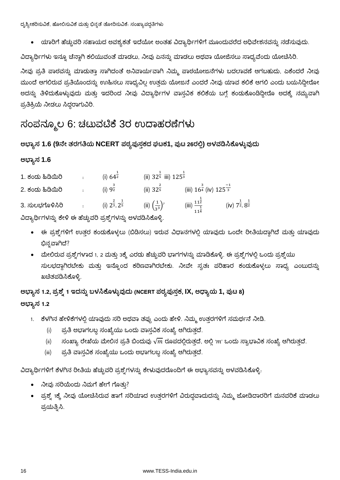ದೃಶ್ಯೀಕರಿಸುವಿಕೆ, ಹೋಲಿಸುವಿಕೆ ಮತ್ತು ಭಿನ್ನತೆ ತೋರಿಸುವಿಕೆ. ಸಂಖ್ಯಾಪದ್ಧತಿಗಳು

ಯಾರಿಗೆ ಹೆಚ್ಚುವರಿ ಸಹಾಯದ ಅವಶ್ಯಕತೆ ಇದೆಯೋ ಅಂತಹ ವಿದ್ಯಾರ್ಥಿಗಳಿಗೆ ಮೂಂದುವರೆದ ಅಧಿವೇಶನವನ್ನು ನಡೆಸುವುದು.

ವಿದ್ಯಾರ್ಥಿಗಳು ಇನ್ನೂ ಚೆನ್ಣಾಗಿ ಕಲಿಯುವಂತೆ ಮಾಡಲು, ನೀವು ಏನನ್ನು ಮಾಡಲು ಅಥವಾ ಯೋಜಿಸಲು ಸಾಧ್ಯವೆಂದು ಯೋಚಿಸಿರಿ.

ನೀವು ಪ್ರತಿ ಪಾಠವನ್ನು ಮಾಡುತ್ತಾ ಸಾಗಿದಂತೆ ಅನಿವಾರ್ಯವಾಗಿ ನಿಮ್ಮ ಪಾಠಯೋಜನೆಗಳು ಬದಲಾವಣೆ ಆಗಬಹುದು, ಏಕೆಂದರೆ ನೀವು ಮುಂದೆ ಆಗಲಿರುವ ಪ್ರತಿಯೊಂದನ್ನು ಉಹಿಸಲು ಸಾಧ್ಯವಿಲ್ಲ ಉತ್ತಮ ಯೋಜನೆ ಎಂದರೆ ನೀವು ಯಾವ ಕಲಿಕೆ ಆಗಲಿ ಎಂದು ಬಯಸಿದ್ದೀರೋ ಅದನ್ನು ತಿಳಿದುಕೊಳ್ಳುವುದು ಮತ್ತು ಇದರಿಂದ ನೀವು ವಿದ್ಯಾರ್ಥಿಗಳ ವಾಸ್ತವಿಕ ಕಲಿಕೆಯ ಬಗ್ಗೆ ಕಂಡುಕೊಂಡಿದ್ದೀರೊ ಅದಕ್ಕೆ ನಮ್ಯವಾಗಿ ಪ್ರತಿಕ್ರಿಯೆ ನೀಡಲು ಸಿದ್ದರಾಗುವಿರಿ.

### ಸಂಪನ್ಮೂಲ 6: ಚಟುವಟಿಕೆ 3ರ ಉದಾಹರಣೆಗಳು

#### ಅಭ್ಯಾಸ 1.6 (9ನೇ ತರಗತಿಯ NCERT ಪಠ್ಯಪುಸ್ತಕದ ಘಟಕ1, ಪುಟ 26ರಲ್ಲಿ) ಅಳವಡಿಸಿಕೊಳ್ಳುವುದು

#### **1.6**

| 1. ಕಂದು ಹಿಡಿಯಿರಿ | (i) 642                                   | (ii) $32\overline{5}$ iii) $125\overline{3}$ |                                                    |                                        |
|------------------|-------------------------------------------|----------------------------------------------|----------------------------------------------------|----------------------------------------|
| 2. ಕಂದು ಹಿಡಿಯಿರಿ | (i) $9\frac{3}{2}$                        | $(ii)$ 32 $5$                                | (iii) $16^{\frac{3}{4}}$ (iv) $125^{\frac{-1}{3}}$ |                                        |
| 3. ಸುಲಭಗೊಳಿಸಿರಿ  | (i) $2^{\frac{2}{3}}$ , $2^{\frac{1}{5}}$ | (ii) $\left(\frac{1}{3^{3}}\right)^{7}$      | (iii) $\frac{11^{\frac{1}{2}}}{11^{\frac{1}{4}}}$  | (iv) $7^{\frac{1}{2}}.8^{\frac{1}{2}}$ |

ವಿದ್ಯಾರ್ಥಿಗಳನ್ನು ಕೇಳಿ ಈ ಹೆಚ್ಚುವರಿ ಪ್ರಶ್ನೆಗಳನ್ನು ಅಳವಡಿಸಿಕೊಳ್ಳಿ.

- ಈ ಪ್ರಶ್ನೆಗಳಿಗೆ ಉತ್ತರ ಕಂಡುಕೊಳ್ಳಲು (ಬಿಡಿಸಲು) ಇರುವ ವಿಧಾನಗಳಲ್ಲಿ ಯಾವುದು ಒಂದೇ ರೀತಿಯದ್ದಾಗಿದೆ ಮತ್ತು ಯಾವುದು ಭಿನ್ನವಾಗಿದೆ?
- ಮೇಲಿರುವ ಪ್ರಶ್ನೆಗಳಾದ 1, 2 ಮತ್ತು 3ಕ್ಕೆ ಎರಡು ಹೆಚ್ಚುವರಿ ಭಾಗಗಳನ್ನು ಮಾಡಿಕೊಳ್ಳಿ. ಈ ಪ್ರಶ್ನೆಗಳಲ್ಲಿ ಒಂದು ಪ್ರಶ್ನೆಯು ಸುಲಭದ್ದಾಗಿರಬೇಕು ಮತ್ತು ಇನ್ನೊಂದ ಕಠಿಣವಾಗಿರಬೇಕು. ನೀವೇ ಸ್ವತಃ ಪರಿಹಾರ ಕಂಡುಕೊಳ್ಳಲು ಸಾಧ್ಯ ಎಂಬುದನ್ನು ಖಚಿತಪಡಿಸಿಕೊಳ್ಳಿ.

ಅಭ್ಯಾಸ 1.2, ಪ್ರಶ್ನೆ 1 ಇದನ್ನು ಬಳಸಿಕೊಳ್ಳುವುದು (NCERT ಪಠ್ಯಪುಸ್ತಕ, **IX**, ಅಧ್ಯಾಯ 1, ಪುಟ 8**)** ಅಭ್ಯಾಸ 1.2

- 1. ಕೆಳಗಿನ ಹೇಳಿಕೆಗಳಲ್ಲಿ ಯಾವುದು ಸರಿ ಅಥವಾ ತಪ್ಪು ಎಂದು ಹೇಳಿ. ನಿಮ್ಮ ಉತ್ತರಗಳಿಗೆ ಸಮರ್ಥನೆ ನೀಡಿ.
	- (i) ಪ್ರತಿ ಅಭಾಗಲಬ್ಧ ಸಂಖ್ಯೆಯು ಒಂದು ವಾಸ್ತವಿಕ ಸಂಖ್ಯೆ ಆಗಿರುತ್ತದೆ.
	- (ii) ಸಂಖ್ಯಾ ರೇಖೆಯ ಮೇಲಿನ ಪ್ರತಿ ಬಿಂದುವು  $\sqrt{m}$  ರೂಪದಲ್ಲಿರುತ್ತದೆ, ಅಲ್ಲಿ ' $m$ ' ಒಂದು ಸ್ವಾಭಾವಿಕ ಸಂಖ್ಯೆ ಆಗಿರುತ್ತದೆ.
	- (iii) ಪ್ರತಿ ವಾಸ್ತವಿಕ ಸಂಖ್ಯೆಯು ಒಂದು ಅಭಾಗಲಬ್ದ ಸಂಖ್ಯೆ ಆಗಿರುತ್ತದೆ.

ವಿದ್ಯಾರ್ಥಿಗಳಿಗೆ ಕೆಳಗಿನ ರೀತಿಯ ಹೆಚ್ಚುವರಿ ಪ್ರಶ್ನೆಗಳನ್ನು ಕೇಳುವುದರೊಂದಿಗೆ ಈ ಅಭ್ಯಾಸವನ್ನು ಅಳವಡಿಸಿಕೊಳ್ಳಿ.

- ನೀವು ಸರಿಯೆಂದು ನಿಮಗೆ ಹೇಗೆ ಗೊತು?
- ಪ್ರಶ್ತೆ 1ಕ್ಕೆ ನೀವು ಯೋಚಿಸಿರುವ ಹಾಗೆ ಸರಿಯಾದ ಉತ್ತರಗಳಿಗೆ ವಿರುದ್ಧವಾದುದನ್ನು ನಿಮ್ಮ ಜೋಡಿದಾರರಿಗೆ ಮನವರಿಕೆ ಮಾಡಲು ಪ್ರಯತ್ನಿಸಿ.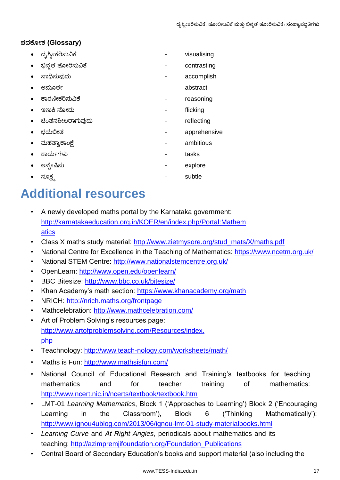#### **(Glossary)**

| ದೃಶ್ಯೀಕರಿಸುವಿಕೆ    | visualising  |
|--------------------|--------------|
| ಭಿನ್ನತೆ ತೋರಿಸುವಿಕೆ | contrasting  |
| ಸಾಧಿಸುವುದು         | accomplish   |
| ಅಮೂರ್ತ             | abstract     |
| ಕಾರಣೀಕರಿಸುವಿಕೆ     | reasoning    |
| ಇಣುಕಿ ನೋದು         | flicking     |
| ಚೆಂತನಶೀಲರಾಗುವುದು   | reflecting   |
| ಭಯಬೀತ              | apprehensive |
| ಮಹತ್ವಾಕಾಂಕ್ಷೆ      | ambitious    |
| ಕಾರ್ಯಗಳು           | tasks        |
| ಅನ್ಯೇಷಿಸು          | explore      |
| ಸೂಕ್ಷ್ಮ            | subtle       |

## **Additional resources**

- A newly developed maths portal by the Karnataka government: http://karnatakaeducation.org.in/KOER/en/index.php/Portal:Mathem atics
- Class X maths study material: http://www.zietmysore.org/stud\_mats/X/maths.pdf
- National Centre for Excellence in the Teaching of Mathematics: https://www.ncetm.org.uk/
- National STEM Centre: http://www.nationalstemcentre.org.uk/
- OpenLearn: http://www.open.edu/openlearn/
- BBC Bitesize: http://www.bbc.co.uk/bitesize/
- Khan Academy's math section: https://www.khanacademy.org/math
- NRICH: http://nrich.maths.org/frontpage
- Mathcelebration: http://www.mathcelebration.com/
- Art of Problem Solving's resources page: http://www.artofproblemsolving.com/Resources/index. php
- Teachnology:<http://www.teach-nology.com/worksheets/math/>
- Maths is Fun: http://www.mathsisfun.com/
- National Council of Educational Research and Training's textbooks for teaching mathematics and for teacher training of mathematics: http://www.ncert.nic.in/ncerts/textbook/textbook.htm
- LMT-01 *Learning Mathematics*, Block 1 ('Approaches to Learning') Block 2 ('Encouraging Learning in the Classroom'), Block 6 ('Thinking Mathematically'): http://www.ignou4ublog.com/2013/06/ignou-lmt-01-study-materialbooks.html
- *Learning Curve* and *At Right Angles*, periodicals about mathematics and its teaching: http://azimpremjifoundation.org/Foundation\_Publications
- Central Board of Secondary Education's books and support material (also including the